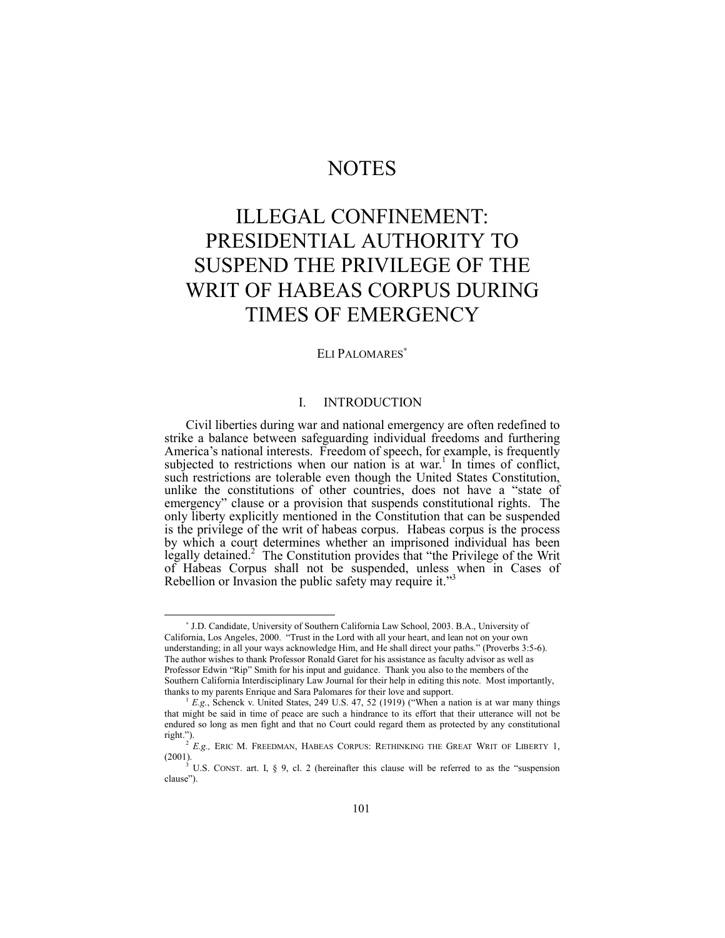# **NOTES**

# ILLEGAL CONFINEMENT: PRESIDENTIAL AUTHORITY TO SUSPEND THE PRIVILEGE OF THE WRIT OF HABEAS CORPUS DURING TIMES OF EMERGENCY

# ELI PALOMARES<sup>\*</sup>

# I. INTRODUCTION

Civil liberties during war and national emergency are often redefined to strike a balance between safeguarding individual freedoms and furthering America's national interests. Freedom of speech, for example, is frequently subjected to restrictions when our nation is at war.<sup>1</sup> In times of conflict, such restrictions are tolerable even though the United States Constitution, unlike the constitutions of other countries, does not have a "state of emergency" clause or a provision that suspends constitutional rights. The only liberty explicitly mentioned in the Constitution that can be suspended is the privilege of the writ of habeas corpus. Habeas corpus is the process by which a court determines whether an imprisoned individual has been legally detained.<sup>2</sup> The Constitution provides that "the Privilege of the Writ of Habeas Corpus shall not be suspended, unless when in Cases of Rebellion or Invasion the public safety may require it.<sup>33</sup>

-

<sup>∗</sup> J.D. Candidate, University of Southern California Law School, 2003. B.A., University of California, Los Angeles, 2000. "Trust in the Lord with all your heart, and lean not on your own understanding; in all your ways acknowledge Him, and He shall direct your paths." (Proverbs 3:5-6). The author wishes to thank Professor Ronald Garet for his assistance as faculty advisor as well as Professor Edwin "Rip" Smith for his input and guidance. Thank you also to the members of the Southern California Interdisciplinary Law Journal for their help in editing this note. Most importantly, thanks to my parents Enrique and Sara Palomares for their love and support.

 $^{1}$  *E.g.*, Schenck v. United States, 249 U.S. 47, 52 (1919) ("When a nation is at war many things that might be said in time of peace are such a hindrance to its effort that their utterance will not be endured so long as men fight and that no Court could regard them as protected by any constitutional  $right."$ ).

<sup>2</sup> *E.g.,* ERIC M. FREEDMAN, HABEAS CORPUS: RETHINKING THE GREAT WRIT OF LIBERTY 1, (2001).<br><sup>3</sup> U.S. CONST. art. I, § 9, cl. 2 (hereinafter this clause will be referred to as the "suspension"

clause").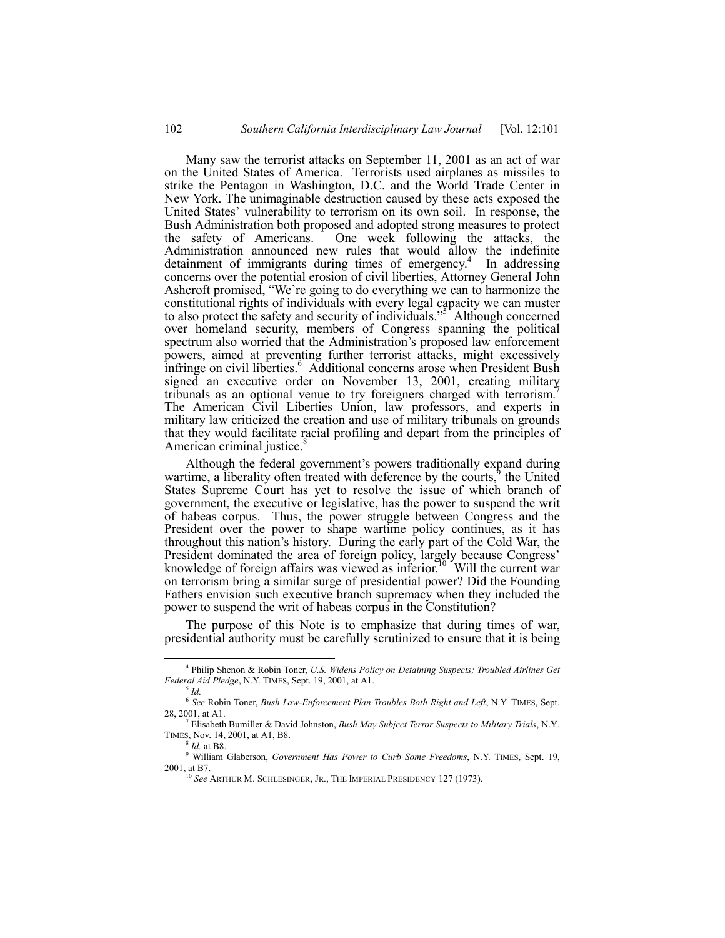Many saw the terrorist attacks on September 11, 2001 as an act of war on the United States of America. Terrorists used airplanes as missiles to strike the Pentagon in Washington, D.C. and the World Trade Center in New York. The unimaginable destruction caused by these acts exposed the United States' vulnerability to terrorism on its own soil. In response, the Bush Administration both proposed and adopted strong measures to protect the safety of Americans. One week following the attacks, the Administration announced new rules that would allow the indefinite detainment of immigrants during times of emergency.<sup>4</sup> In addressing concerns over the potential erosion of civil liberties, Attorney General John Ashcroft promised, "We're going to do everything we can to harmonize the constitutional rights of individuals with every legal capacity we can muster to also protect the safety and security of individuals."<sup>5</sup> Although concerned over homeland security, members of Congress spanning the political spectrum also worried that the Administration's proposed law enforcement powers, aimed at preventing further terrorist attacks, might excessively infringe on civil liberties.<sup>6</sup> Additional concerns arose when President Bush signed an executive order on November 13, 2001, creating military tribunals as an optional venue to try foreigners charged with terrorism.<sup>7</sup> The American Civil Liberties Union, law professors, and experts in military law criticized the creation and use of military tribunals on grounds that they would facilitate racial profiling and depart from the principles of American criminal justice.<sup>8</sup>

Although the federal government's powers traditionally expand during wartime, a liberality often treated with deference by the courts,<sup>9</sup> the United States Supreme Court has yet to resolve the issue of which branch of government, the executive or legislative, has the power to suspend the writ of habeas corpus. Thus, the power struggle between Congress and the President over the power to shape wartime policy continues, as it has throughout this nation's history. During the early part of the Cold War, the President dominated the area of foreign policy, largely because Congress' knowledge of foreign affairs was viewed as inferior.<sup>10</sup> Will the current war on terrorism bring a similar surge of presidential power? Did the Founding Fathers envision such executive branch supremacy when they included the power to suspend the writ of habeas corpus in the Constitution?

The purpose of this Note is to emphasize that during times of war, presidential authority must be carefully scrutinized to ensure that it is being

 $\frac{1}{4}$  Philip Shenon & Robin Toner, *U.S. Widens Policy on Detaining Suspects; Troubled Airlines Get Federal Aid Pledge*, N.Y. TIMES, Sept. 19, 2001, at A1.

<sup>5</sup> *Id.*

<sup>6</sup> *See* Robin Toner, *Bush Law-Enforcement Plan Troubles Both Right and Left*, N.Y. TIMES, Sept. 28, 2001, at A1.

<sup>7</sup> Elisabeth Bumiller & David Johnston, *Bush May Subject Terror Suspects to Military Trials*, N.Y. TIMES, Nov. 14, 2001, at A1, B8.

<sup>8</sup> *Id.* at B8.

<sup>9</sup> William Glaberson, *Government Has Power to Curb Some Freedoms*, N.Y. TIMES, Sept. 19, 2001, at B7.

<sup>10</sup> *See* ARTHUR M. SCHLESINGER, JR., THE IMPERIAL PRESIDENCY 127 (1973).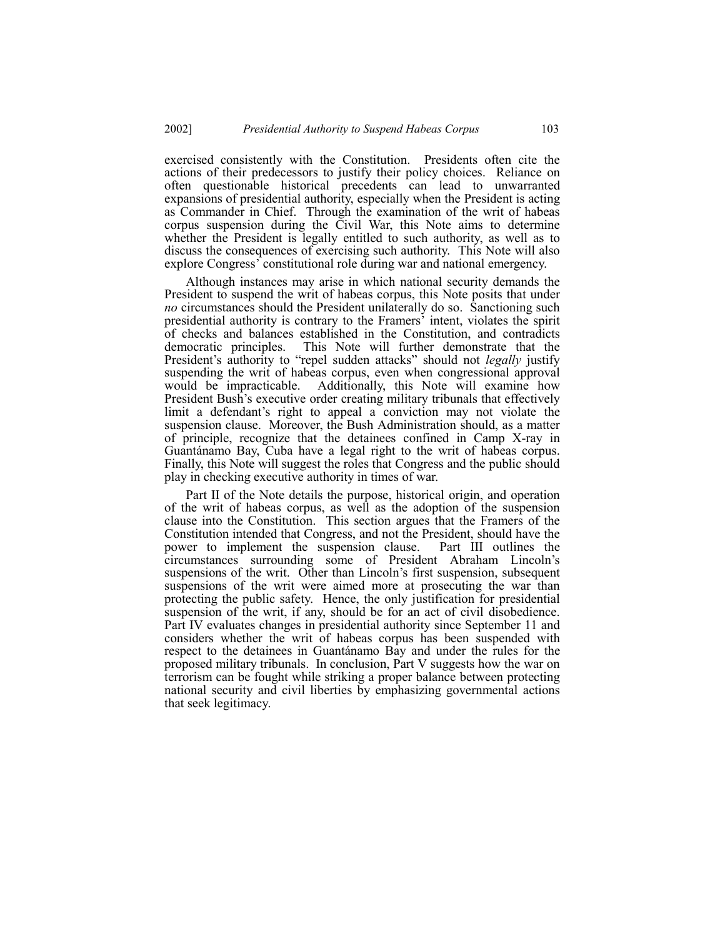exercised consistently with the Constitution. Presidents often cite the actions of their predecessors to justify their policy choices. Reliance on often questionable historical precedents can lead to unwarranted expansions of presidential authority, especially when the President is acting as Commander in Chief. Through the examination of the writ of habeas corpus suspension during the Civil War, this Note aims to determine whether the President is legally entitled to such authority, as well as to discuss the consequences of exercising such authority. This Note will also explore Congress<sup>'</sup> constitutional role during war and national emergency.

Although instances may arise in which national security demands the President to suspend the writ of habeas corpus, this Note posits that under *no* circumstances should the President unilaterally do so. Sanctioning such presidential authority is contrary to the Framers' intent, violates the spirit of checks and balances established in the Constitution, and contradicts democratic principles. This Note will further demonstrate that the President's authority to "repel sudden attacks" should not *legally* justify suspending the writ of habeas corpus, even when congressional approval would be impracticable. Additionally, this Note will examine how President Bush's executive order creating military tribunals that effectively limit a defendant's right to appeal a conviction may not violate the suspension clause. Moreover, the Bush Administration should, as a matter of principle, recognize that the detainees confined in Camp X-ray in Guantánamo Bay, Cuba have a legal right to the writ of habeas corpus. Finally, this Note will suggest the roles that Congress and the public should play in checking executive authority in times of war.

Part II of the Note details the purpose, historical origin, and operation of the writ of habeas corpus, as well as the adoption of the suspension clause into the Constitution. This section argues that the Framers of the Constitution intended that Congress, and not the President, should have the power to implement the suspension clause. Part III outlines the circumstances surrounding some of President Abraham Lincoln's suspensions of the writ. Other than Lincoln's first suspension, subsequent suspensions of the writ were aimed more at prosecuting the war than protecting the public safety. Hence, the only justification for presidential suspension of the writ, if any, should be for an act of civil disobedience. Part IV evaluates changes in presidential authority since September 11 and considers whether the writ of habeas corpus has been suspended with respect to the detainees in Guantánamo Bay and under the rules for the proposed military tribunals. In conclusion, Part V suggests how the war on terrorism can be fought while striking a proper balance between protecting national security and civil liberties by emphasizing governmental actions that seek legitimacy.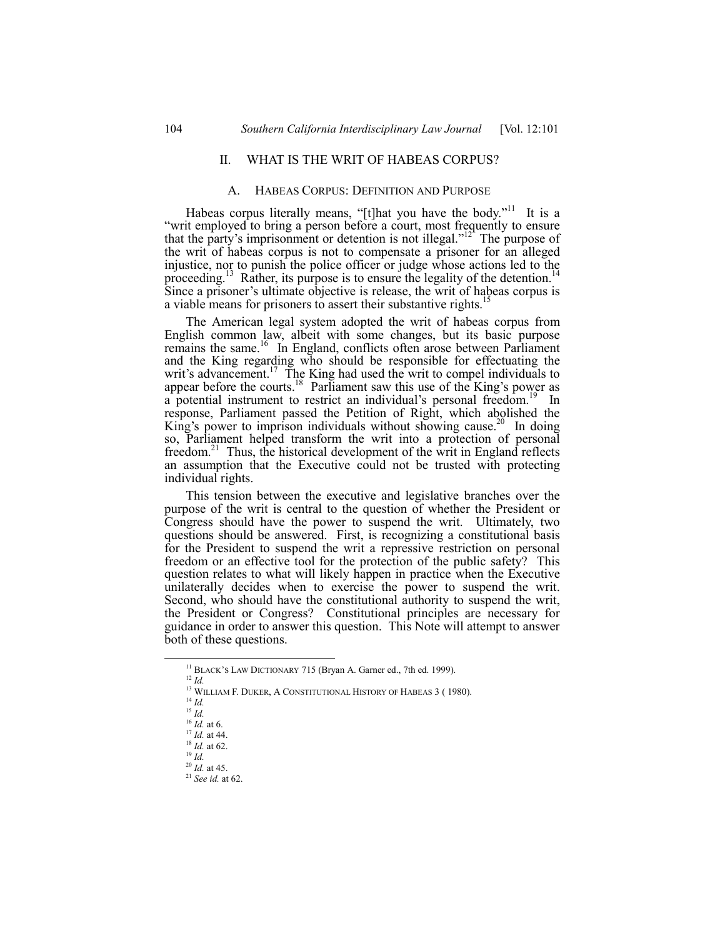# II. WHAT IS THE WRIT OF HABEAS CORPUS?

#### A. HABEAS CORPUS: DEFINITION AND PURPOSE

Habeas corpus literally means, "[t]hat you have the body."<sup>11</sup> It is a ìwrit employed to bring a person before a court, most frequently to ensure that the party's imprisonment or detention is not illegal. $1<sup>12</sup>$  The purpose of the writ of habeas corpus is not to compensate a prisoner for an alleged injustice, nor to punish the police officer or judge whose actions led to the proceeding.<sup>13</sup> Rather, its purpose is to ensure the legality of the detention.<sup>14</sup> Since a prisoner's ultimate objective is release, the writ of habeas corpus is a viable means for prisoners to assert their substantive rights.<sup>15</sup>

The American legal system adopted the writ of habeas corpus from English common law, albeit with some changes, but its basic purpose remains the same.<sup>16</sup> In England, conflicts often arose between Parliament and the King regarding who should be responsible for effectuating the writ's advancement.<sup>17</sup> The King had used the writ to compel individuals to appear before the courts.<sup>18</sup> Parliament saw this use of the King's power as a potential instrument to restrict an individual's personal freedom.<sup>19</sup> In response, Parliament passed the Petition of Right, which abolished the King's power to imprison individuals without showing cause.<sup>20</sup> In doing so, Parliament helped transform the writ into a protection of personal freedom.<sup>21</sup> Thus, the historical development of the writ in England reflects an assumption that the Executive could not be trusted with protecting individual rights.

This tension between the executive and legislative branches over the purpose of the writ is central to the question of whether the President or Congress should have the power to suspend the writ. Ultimately, two questions should be answered. First, is recognizing a constitutional basis for the President to suspend the writ a repressive restriction on personal freedom or an effective tool for the protection of the public safety? This question relates to what will likely happen in practice when the Executive unilaterally decides when to exercise the power to suspend the writ. Second, who should have the constitutional authority to suspend the writ, the President or Congress? Constitutional principles are necessary for guidance in order to answer this question. This Note will attempt to answer both of these questions.

<sup>&</sup>lt;sup>11</sup> BLACK'S LAW DICTIONARY 715 (Bryan A. Garner ed., 7th ed. 1999).

<sup>12</sup> *Id.*

<sup>&</sup>lt;sup>13</sup> WILLIAM F. DUKER, A CONSTITUTIONAL HISTORY OF HABEAS 3 (1980).

<sup>14</sup> *Id.*

<sup>15</sup> *Id.*

<sup>16</sup> *Id.* at 6.

<sup>17</sup> *Id.* at 44.

<sup>18</sup> *Id.* at 62. <sup>19</sup> *Id.*

<sup>20</sup> *Id.* at 45.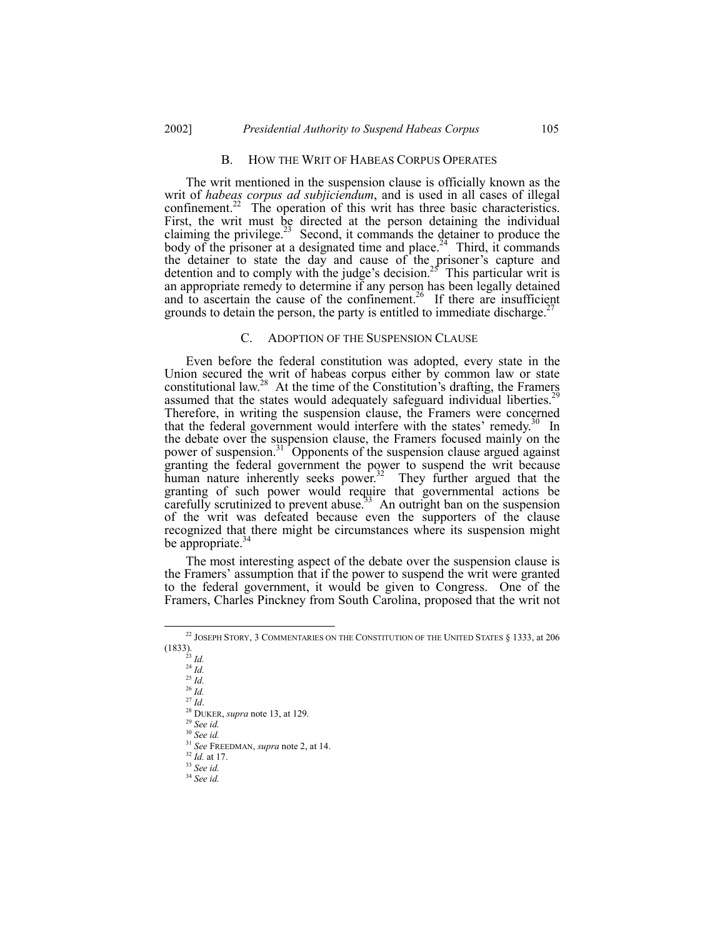#### B. HOW THE WRIT OF HABEAS CORPUS OPERATES

The writ mentioned in the suspension clause is officially known as the writ of *habeas corpus ad subjiciendum*, and is used in all cases of illegal confinement.<sup>22</sup> The operation of this writ has three basic characteristics. First, the writ must be directed at the person detaining the individual claiming the privilege.<sup>23</sup> Second, it commands the detainer to produce the body of the prisoner at a designated time and place.<sup>24</sup> Third, it commands the detainer to state the day and cause of the prisoner's capture and detention and to comply with the judge's decision.<sup>25</sup> This particular writ is an appropriate remedy to determine if any person has been legally detained and to ascertain the cause of the confinement.<sup>26</sup> If there are insufficient grounds to detain the person, the party is entitled to immediate discharge.<sup>27</sup>

# C. ADOPTION OF THE SUSPENSION CLAUSE

Even before the federal constitution was adopted, every state in the Union secured the writ of habeas corpus either by common law or state constitutional law.<sup>28</sup> At the time of the Constitution's drafting, the Framers assumed that the states would adequately safeguard individual liberties.<sup>2</sup> Therefore, in writing the suspension clause, the Framers were concerned that the federal government would interfere with the states' remedy.<sup>30</sup> In the debate over the suspension clause, the Framers focused mainly on the power of suspension.<sup>31</sup> Opponents of the suspension clause argued against granting the federal government the power to suspend the writ because human nature inherently seeks power.<sup>32</sup> They further argued that the granting of such power would require that governmental actions be carefully scrutinized to prevent abuse.<sup>33</sup> An outright ban on the suspension of the writ was defeated because even the supporters of the clause recognized that there might be circumstances where its suspension might be appropriate.<sup>34</sup>

The most interesting aspect of the debate over the suspension clause is the Framersí assumption that if the power to suspend the writ were granted to the federal government, it would be given to Congress. One of the Framers, Charles Pinckney from South Carolina, proposed that the writ not

 $^{22}$  JOSEPH STORY, 3 COMMENTARIES ON THE CONSTITUTION OF THE UNITED STATES  $\S$  1333, at 206 (1833).

<sup>23</sup> *Id.*

 $^{24}$  *Id.* 

<sup>25</sup> *Id.* <sup>26</sup> *Id.*

<sup>27</sup> *Id*.

<sup>28</sup> DUKER, *supra* note 13, at 129*.*

<sup>29</sup> *See id.* <sup>30</sup> *See id.*

<sup>31</sup> *See* FREEDMAN, *supra* note 2, at 14.

<sup>32</sup> *Id.* at 17.

<sup>33</sup> *See id.*

<sup>34</sup> *See id.*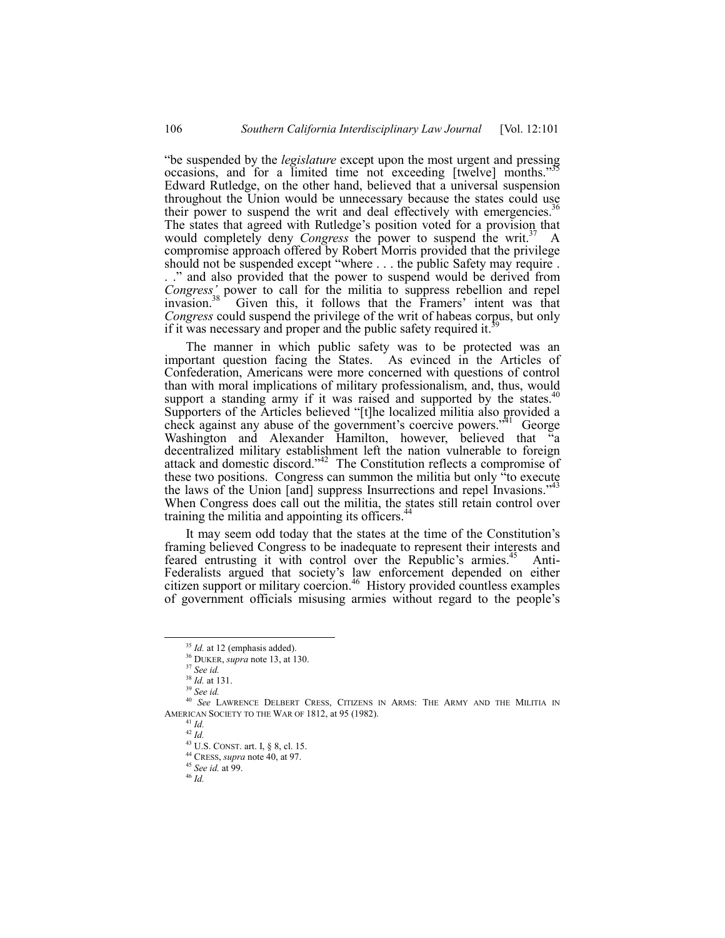ìbe suspended by the *legislature* except upon the most urgent and pressing occasions, and for a limited time not exceeding [twelve] months.<sup>35</sup> Edward Rutledge, on the other hand, believed that a universal suspension throughout the Union would be unnecessary because the states could use their power to suspend the writ and deal effectively with emergencies.<sup>3</sup> The states that agreed with Rutledge's position voted for a provision that would completely deny *Congress* the power to suspend the writ.<sup>37</sup> A compromise approach offered by Robert Morris provided that the privilege should not be suspended except "where  $\dots$  the public Safety may require . ..." and also provided that the power to suspend would be derived from *Congressí* power to call for the militia to suppress rebellion and repel invasion.<sup>38</sup> Given this, it follows that the Framers' intent was that *Congress* could suspend the privilege of the writ of habeas corpus, but only if it was necessary and proper and the public safety required it.<sup>3</sup>

The manner in which public safety was to be protected was an important question facing the States. As evinced in the Articles of Confederation, Americans were more concerned with questions of control than with moral implications of military professionalism, and, thus, would support a standing army if it was raised and supported by the states. $40$ Supporters of the Articles believed "[t]he localized militia also provided a check against any abuse of the government's coercive powers.<sup> $41$ </sup> George Washington and Alexander Hamilton, however, believed that "a decentralized military establishment left the nation vulnerable to foreign attack and domestic discord.<sup> $342$ </sup> The Constitution reflects a compromise of these two positions. Congress can summon the militia but only  $\alpha$  consecute the laws of the Union [and] suppress Insurrections and repel Invasions.<sup> $44$ </sup> When Congress does call out the militia, the states still retain control over training the militia and appointing its officers.<sup>4</sup>

It may seem odd today that the states at the time of the Constitution's framing believed Congress to be inadequate to represent their interests and feared entrusting it with control over the Republic's armies.<sup>45</sup> Anti-Federalists argued that society's law enforcement depended on either citizen support or military coercion.<sup>46</sup> History provided countless examples of government officials misusing armies without regard to the people's

<sup>&</sup>lt;sup>35</sup> *Id.* at 12 (emphasis added).

<sup>36</sup> DUKER, *supra* note 13, at 130.

<sup>37</sup> *See id.*

<sup>38</sup> *Id.* at 131.

<sup>39</sup> *See id.*

<sup>40</sup> *See* LAWRENCE DELBERT CRESS, CITIZENS IN ARMS: THE ARMY AND THE MILITIA IN AMERICAN SOCIETY TO THE WAR OF 1812, at 95 (1982).

<sup>41</sup> *Id.*  $42 \overline{Id}$ 

<sup>43</sup> U.S. CONST. art. I, ß 8, cl. 15.

<sup>44</sup> CRESS, *supra* note 40, at 97.

<sup>45</sup> *See id.* at 99.

<sup>46</sup> *Id.*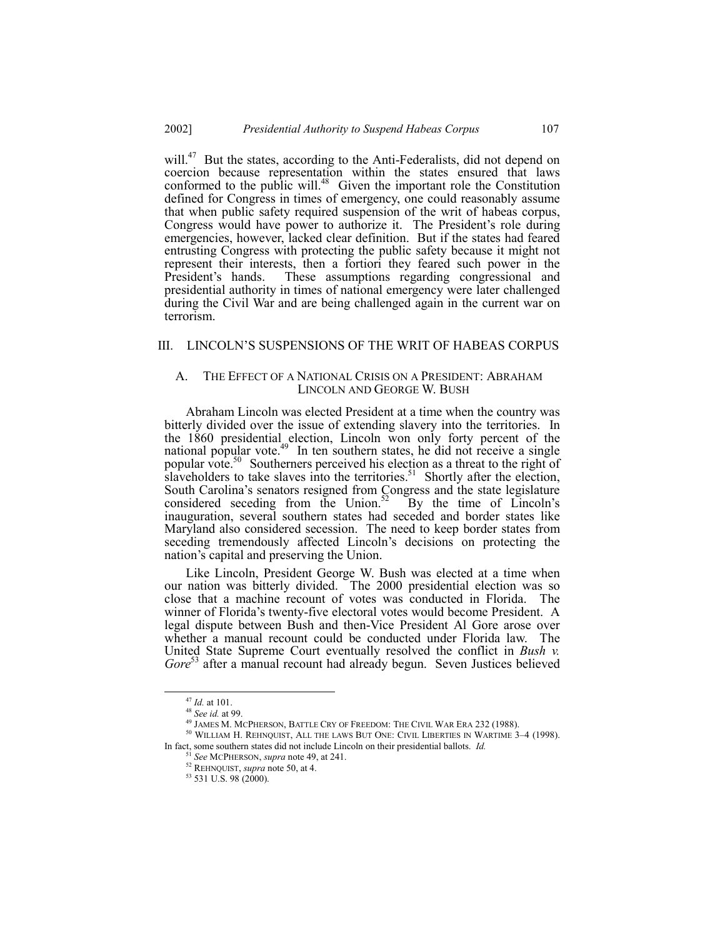will.<sup>47</sup> But the states, according to the Anti-Federalists, did not depend on coercion because representation within the states ensured that laws conformed to the public will.<sup>48</sup> Given the important role the Constitution defined for Congress in times of emergency, one could reasonably assume that when public safety required suspension of the writ of habeas corpus, Congress would have power to authorize it. The President's role during emergencies, however, lacked clear definition. But if the states had feared entrusting Congress with protecting the public safety because it might not represent their interests, then a fortiori they feared such power in the President's hands. These assumptions regarding congressional and These assumptions regarding congressional and presidential authority in times of national emergency were later challenged during the Civil War and are being challenged again in the current war on terrorism.

# III. LINCOLN'S SUSPENSIONS OF THE WRIT OF HABEAS CORPUS

#### A. THE EFFECT OF A NATIONAL CRISIS ON A PRESIDENT: ABRAHAM LINCOLN AND GEORGE W. BUSH

Abraham Lincoln was elected President at a time when the country was bitterly divided over the issue of extending slavery into the territories. In the 1860 presidential election, Lincoln won only forty percent of the national popular vote. $49$  In ten southern states, he did not receive a single popular vote.<sup>50</sup> Southerners perceived his election as a threat to the right of slaveholders to take slaves into the territories.<sup>51</sup> Shortly after the election, South Carolina's senators resigned from Congress and the state legislature considered seceding from the Union. $52$  By the time of Lincoln's inauguration, several southern states had seceded and border states like Maryland also considered secession. The need to keep border states from seceding tremendously affected Lincoln's decisions on protecting the nation's capital and preserving the Union.

Like Lincoln, President George W. Bush was elected at a time when our nation was bitterly divided. The 2000 presidential election was so close that a machine recount of votes was conducted in Florida. The winner of Florida's twenty-five electoral votes would become President. A legal dispute between Bush and then-Vice President Al Gore arose over whether a manual recount could be conducted under Florida law. The United State Supreme Court eventually resolved the conflict in *Bush v.* Gore<sup>53</sup> after a manual recount had already begun. Seven Justices believed

 <sup>47</sup> *Id.* at 101.

<sup>48</sup> *See id.* at 99.

<sup>&</sup>lt;sup>49</sup> JAMES M. MCPHERSON, BATTLE CRY OF FREEDOM: THE CIVIL WAR ERA 232 (1988).

 $50$  WILLIAM H. REHNQUIST, ALL THE LAWS BUT ONE: CIVIL LIBERTIES IN WARTIME  $3-4$  (1998). In fact, some southern states did not include Lincoln on their presidential ballots. *Id.*

See MCPHERSON, *supra* note 49, at 241.

<sup>52</sup> REHNQUIST, *supra* note 50, at 4.

<sup>53 531</sup> U.S. 98 (2000).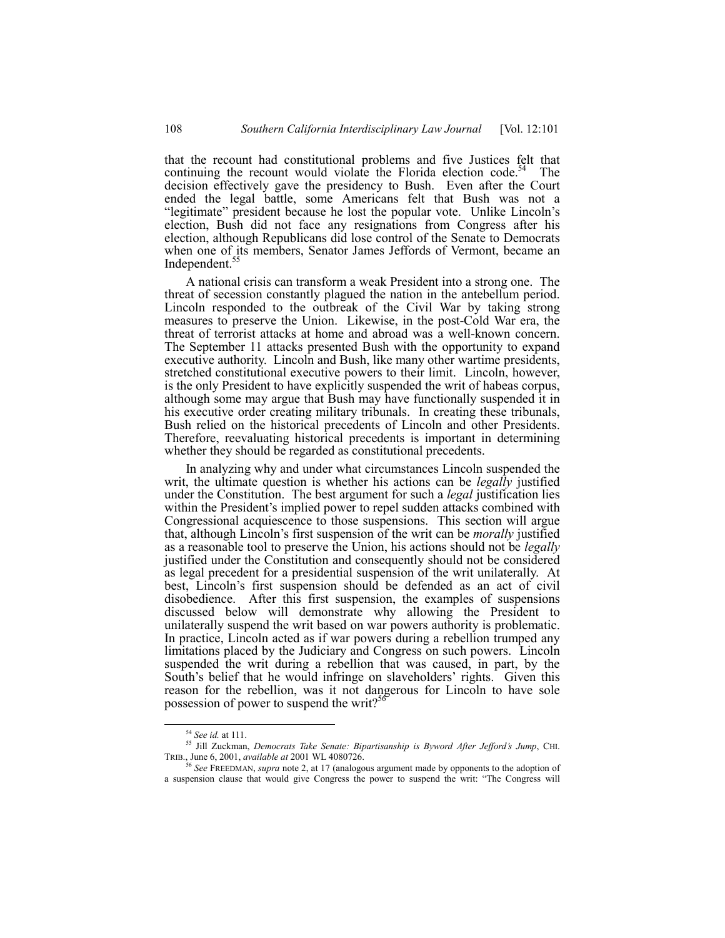that the recount had constitutional problems and five Justices felt that continuing the recount would violate the Florida election code.<sup>54</sup> The decision effectively gave the presidency to Bush. Even after the Court ended the legal battle, some Americans felt that Bush was not a "legitimate" president because he lost the popular vote. Unlike Lincoln's election, Bush did not face any resignations from Congress after his election, although Republicans did lose control of the Senate to Democrats when one of its members, Senator James Jeffords of Vermont, became an Independent.<sup>5</sup>

A national crisis can transform a weak President into a strong one. The threat of secession constantly plagued the nation in the antebellum period. Lincoln responded to the outbreak of the Civil War by taking strong measures to preserve the Union. Likewise, in the post-Cold War era, the threat of terrorist attacks at home and abroad was a well-known concern. The September 11 attacks presented Bush with the opportunity to expand executive authority. Lincoln and Bush, like many other wartime presidents, stretched constitutional executive powers to their limit. Lincoln, however, is the only President to have explicitly suspended the writ of habeas corpus, although some may argue that Bush may have functionally suspended it in his executive order creating military tribunals. In creating these tribunals, Bush relied on the historical precedents of Lincoln and other Presidents. Therefore, reevaluating historical precedents is important in determining whether they should be regarded as constitutional precedents.

In analyzing why and under what circumstances Lincoln suspended the writ, the ultimate question is whether his actions can be *legally* justified under the Constitution. The best argument for such a *legal* justification lies within the President's implied power to repel sudden attacks combined with Congressional acquiescence to those suspensions. This section will argue that, although Lincoln's first suspension of the writ can be *morally* justified as a reasonable tool to preserve the Union, his actions should not be *legally* justified under the Constitution and consequently should not be considered as legal precedent for a presidential suspension of the writ unilaterally. At best, Lincoln's first suspension should be defended as an act of civil disobedience. After this first suspension, the examples of suspensions discussed below will demonstrate why allowing the President to unilaterally suspend the writ based on war powers authority is problematic. In practice, Lincoln acted as if war powers during a rebellion trumped any limitations placed by the Judiciary and Congress on such powers. Lincoln suspended the writ during a rebellion that was caused, in part, by the South's belief that he would infringe on slaveholders' rights. Given this reason for the rebellion, was it not dangerous for Lincoln to have sole possession of power to suspend the writ?<sup>56</sup>

 <sup>54</sup> *See id.* at 111.

<sup>55</sup> Jill Zuckman, *Democrats Take Senate: Bipartisanship is Byword After Jeffordís Jump*, CHI. TRIB., June 6, 2001, *available at* 2001 WL 4080726.

<sup>56</sup> *See* FREEDMAN, *supra* note 2, at 17 (analogous argument made by opponents to the adoption of a suspension clause that would give Congress the power to suspend the writ: "The Congress will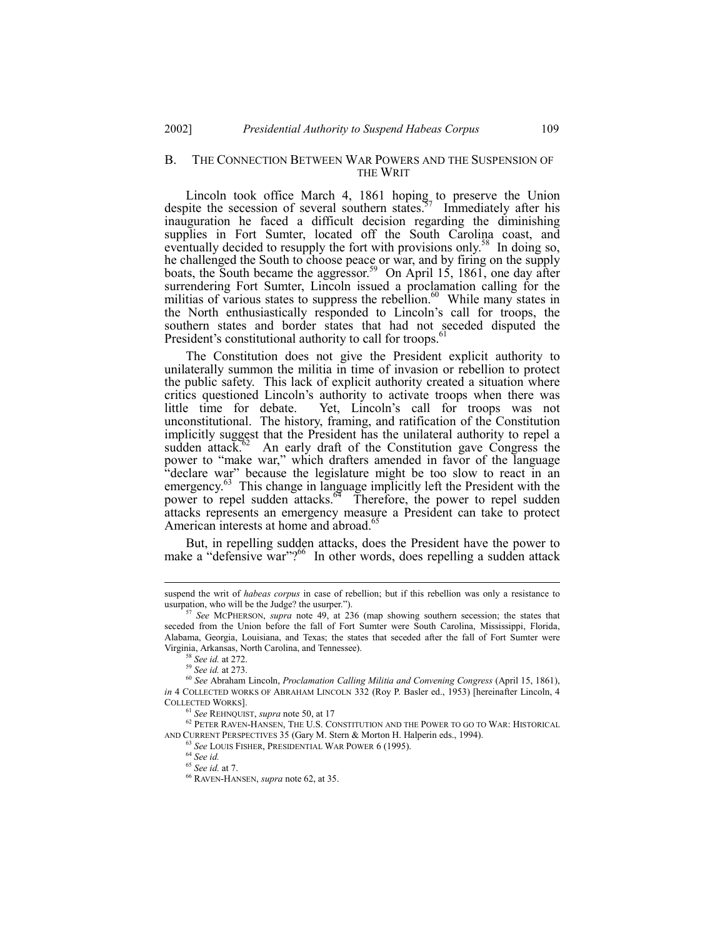#### B. THE CONNECTION BETWEEN WAR POWERS AND THE SUSPENSION OF THE WRIT

Lincoln took office March 4, 1861 hoping to preserve the Union despite the secession of several southern states.<sup>57</sup> Immediately after his inauguration he faced a difficult decision regarding the diminishing supplies in Fort Sumter, located off the South Carolina coast, and eventually decided to resupply the fort with provisions only.<sup>58</sup> In doing so, he challenged the South to choose peace or war, and by firing on the supply boats, the South became the aggressor.<sup>59</sup> On April 15, 1861, one day after surrendering Fort Sumter, Lincoln issued a proclamation calling for the militias of various states to suppress the rebellion. $60$  While many states in the North enthusiastically responded to Lincoln's call for troops, the southern states and border states that had not seceded disputed the President's constitutional authority to call for troops.

The Constitution does not give the President explicit authority to unilaterally summon the militia in time of invasion or rebellion to protect the public safety. This lack of explicit authority created a situation where critics questioned Lincoln's authority to activate troops when there was little time for debate. Yet, Lincoln's call for troops was not unconstitutional. The history, framing, and ratification of the Constitution implicitly suggest that the President has the unilateral authority to repel a sudden attack.<sup>62</sup> An early draft of the Constitution gave Congress the power to "make war," which drafters amended in favor of the language "declare war" because the legislature might be too slow to react in an emergency.<sup>63</sup> This change in language implicitly left the President with the power to repel sudden attacks.<sup>64</sup> Therefore, the power to repel sudden attacks represents an emergency measure a President can take to protect American interests at home and abroad.<sup>65</sup>

But, in repelling sudden attacks, does the President have the power to make a "defensive war"?<sup>66</sup> In other words, does repelling a sudden attack

suspend the writ of *habeas corpus* in case of rebellion; but if this rebellion was only a resistance to usurpation, who will be the Judge? the usurper.").

<sup>57</sup> *See* MCPHERSON, *supra* note 49, at 236 (map showing southern secession; the states that seceded from the Union before the fall of Fort Sumter were South Carolina, Mississippi, Florida, Alabama, Georgia, Louisiana, and Texas; the states that seceded after the fall of Fort Sumter were Virginia, Arkansas, North Carolina, and Tennessee).

<sup>58</sup> *See id.* at 272.

<sup>59</sup> *See id.* at 273.

<sup>60</sup> *See* Abraham Lincoln, *Proclamation Calling Militia and Convening Congress* (April 15, 1861), *in* 4 COLLECTED WORKS OF ABRAHAM LINCOLN 332 (Roy P. Basler ed., 1953) [hereinafter Lincoln, 4 COLLECTED WORKS].

<sup>61</sup> *See* REHNQUIST, *supra* note 50, at 17

**<sup>62</sup> PETER RAVEN-HANSEN, THE U.S. CONSTITUTION AND THE POWER TO GO TO WAR: HISTORICAL** AND CURRENT PERSPECTIVES 35 (Gary M. Stern & Morton H. Halperin eds., 1994).

<sup>63</sup> *See* LOUIS FISHER, PRESIDENTIAL WAR POWER 6 (1995).

<sup>64</sup> *See id.*

<sup>65</sup> *See id.* at 7.

<sup>66</sup> RAVEN-HANSEN, *supra* note 62, at 35.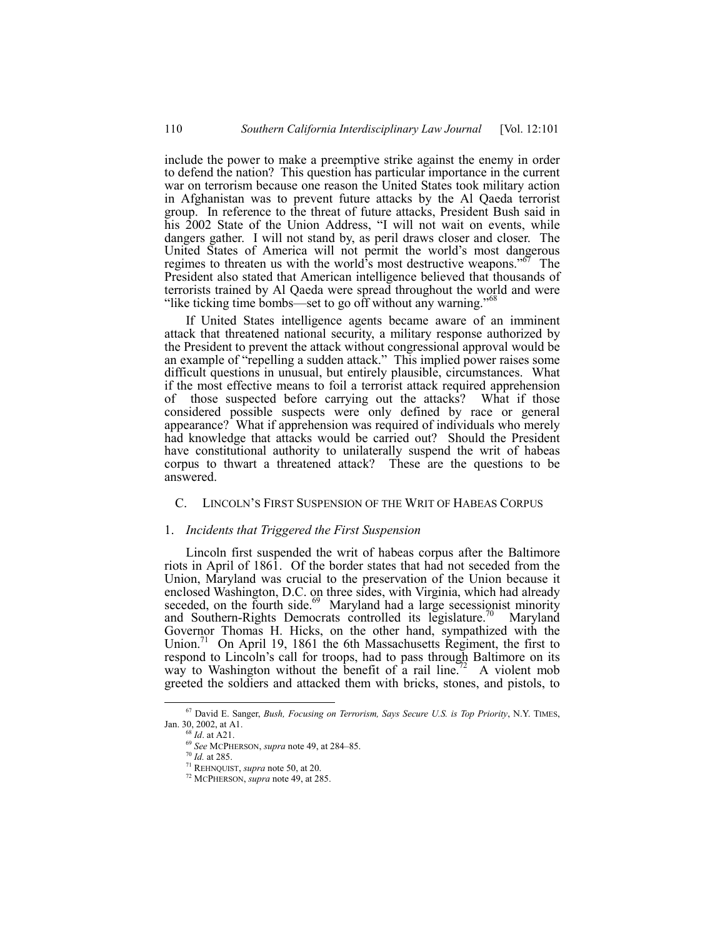include the power to make a preemptive strike against the enemy in order to defend the nation? This question has particular importance in the current war on terrorism because one reason the United States took military action in Afghanistan was to prevent future attacks by the Al Qaeda terrorist group. In reference to the threat of future attacks, President Bush said in his 2002 State of the Union Address, "I will not wait on events, while dangers gather. I will not stand by, as peril draws closer and closer. The United States of America will not permit the world's most dangerous regimes to threaten us with the world<sup>3</sup>s most destructive weapons.<sup> $567$ </sup> The President also stated that American intelligence believed that thousands of terrorists trained by Al Qaeda were spread throughout the world and were "like ticking time bombs—set to go off without any warning."<sup> $68$ </sup>

If United States intelligence agents became aware of an imminent attack that threatened national security, a military response authorized by the President to prevent the attack without congressional approval would be an example of "repelling a sudden attack." This implied power raises some difficult questions in unusual, but entirely plausible, circumstances. What if the most effective means to foil a terrorist attack required apprehension of those suspected before carrying out the attacks? What if those considered possible suspects were only defined by race or general appearance? What if apprehension was required of individuals who merely had knowledge that attacks would be carried out? Should the President have constitutional authority to unilaterally suspend the writ of habeas corpus to thwart a threatened attack? These are the questions to be answered.

# C. LINCOLNíS FIRST SUSPENSION OF THE WRIT OF HABEAS CORPUS

#### 1. *Incidents that Triggered the First Suspension*

Lincoln first suspended the writ of habeas corpus after the Baltimore riots in April of 1861. Of the border states that had not seceded from the Union, Maryland was crucial to the preservation of the Union because it enclosed Washington, D.C. on three sides, with Virginia, which had already seceded, on the fourth side.<sup>69</sup> Maryland had a large secessionist minority and Southern-Rights Democrats controlled its legislature.<sup>70</sup> Maryland Governor Thomas H. Hicks, on the other hand, sympathized with the Union.<sup>71</sup> On April 19, 1861 the 6th Massachusetts Regiment, the first to respond to Lincoln's call for troops, had to pass through Baltimore on its way to Washington without the benefit of a rail line.<sup>72</sup> A violent mob greeted the soldiers and attacked them with bricks, stones, and pistols, to

 <sup>67</sup> David E. Sanger, *Bush, Focusing on Terrorism, Says Secure U.S. is Top Priority*, N.Y. TIMES, Jan. 30, 2002, at A1.

<sup>68</sup> *Id*. at A21.

<sup>&</sup>lt;sup>69</sup> See MCPHERSON, *supra* note 49, at 284-85.

<sup>70</sup> *Id.* at 285.

<sup>71</sup> REHNQUIST, *supra* note 50, at 20.

<sup>72</sup> MCPHERSON, *supra* note 49, at 285.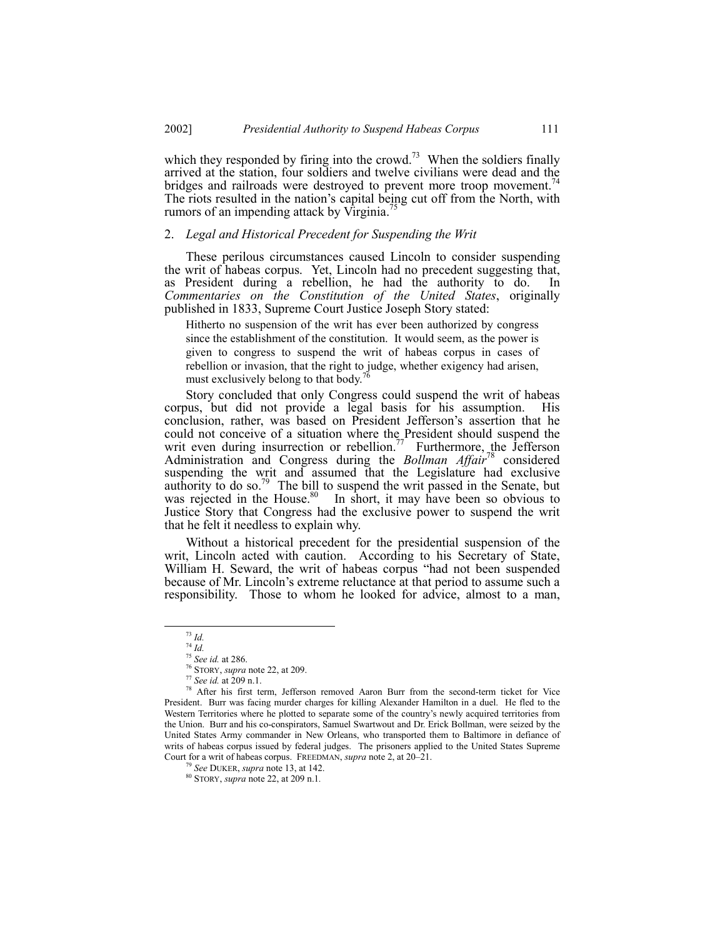which they responded by firing into the crowd.<sup>73</sup> When the soldiers finally arrived at the station, four soldiers and twelve civilians were dead and the bridges and railroads were destroyed to prevent more troop movement.<sup>74</sup> The riots resulted in the nation's capital being cut off from the North, with rumors of an impending attack by Virginia.<sup>7</sup>

## 2. *Legal and Historical Precedent for Suspending the Writ*

These perilous circumstances caused Lincoln to consider suspending the writ of habeas corpus. Yet, Lincoln had no precedent suggesting that, as President during a rebellion, he had the authority to do. In *Commentaries on the Constitution of the United States*, originally published in 1833, Supreme Court Justice Joseph Story stated:

Hitherto no suspension of the writ has ever been authorized by congress since the establishment of the constitution. It would seem, as the power is given to congress to suspend the writ of habeas corpus in cases of rebellion or invasion, that the right to judge, whether exigency had arisen, must exclusively belong to that body.<sup>76</sup>

Story concluded that only Congress could suspend the writ of habeas corpus, but did not provide a legal basis for his assumption. His conclusion, rather, was based on President Jefferson's assertion that he could not conceive of a situation where the President should suspend the writ even during insurrection or rebellion.<sup>77</sup> Furthermore, the Jefferson Administration and Congress during the *Bollman Affair*78 considered suspending the writ and assumed that the Legislature had exclusive authority to do so.<sup>79</sup> The bill to suspend the writ passed in the Senate, but was rejected in the House.<sup>80</sup> In short, it may have been so obvious to Justice Story that Congress had the exclusive power to suspend the writ that he felt it needless to explain why.

Without a historical precedent for the presidential suspension of the writ, Lincoln acted with caution. According to his Secretary of State, William H. Seward, the writ of habeas corpus "had not been suspended because of Mr. Lincoln's extreme reluctance at that period to assume such a responsibility. Those to whom he looked for advice, almost to a man,

 <sup>73</sup> *Id.*

<sup>74</sup> *Id.*

<sup>75</sup> *See id.* at 286.

<sup>76</sup> STORY, *supra* note 22, at 209.

<sup>77</sup> *See id.* at 209 n.1.

<sup>78</sup> After his first term, Jefferson removed Aaron Burr from the second-term ticket for Vice President. Burr was facing murder charges for killing Alexander Hamilton in a duel. He fled to the Western Territories where he plotted to separate some of the country's newly acquired territories from the Union. Burr and his co-conspirators, Samuel Swartwout and Dr. Erick Bollman, were seized by the United States Army commander in New Orleans, who transported them to Baltimore in defiance of writs of habeas corpus issued by federal judges. The prisoners applied to the United States Supreme Court for a writ of habeas corpus. FREEDMAN, *supra* note 2, at 20-21.

<sup>79</sup> *See* DUKER, *supra* note 13, at 142.

<sup>80</sup> STORY, *supra* note 22, at 209 n.1*.*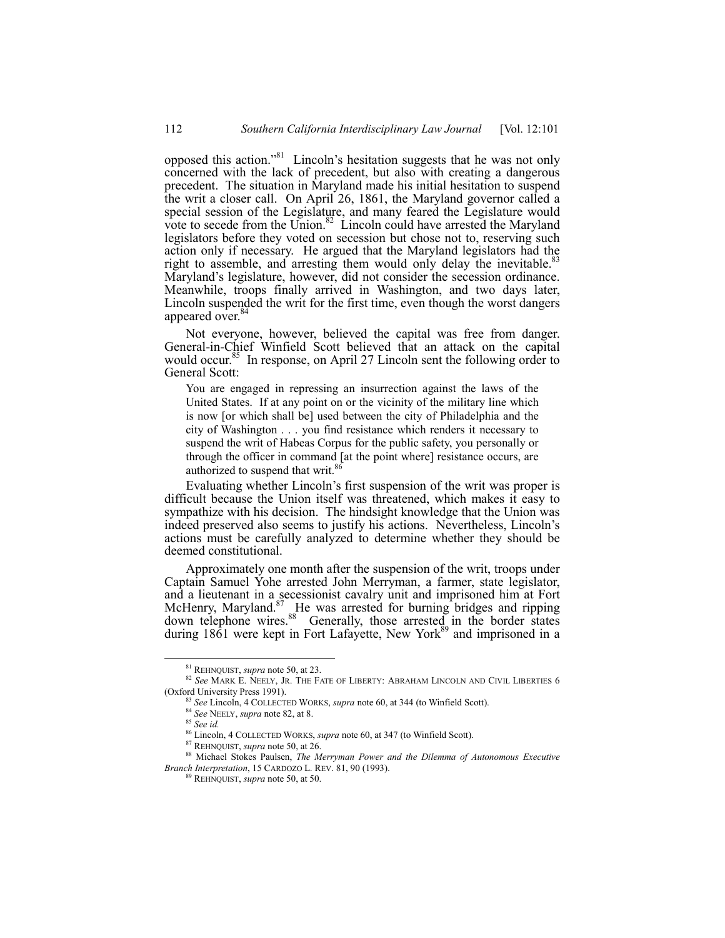opposed this action.<sup>381</sup> Lincoln's hesitation suggests that he was not only concerned with the lack of precedent, but also with creating a dangerous precedent. The situation in Maryland made his initial hesitation to suspend the writ a closer call. On April 26, 1861, the Maryland governor called a special session of the Legislature, and many feared the Legislature would vote to secede from the Union. $82$  Lincoln could have arrested the Maryland legislators before they voted on secession but chose not to, reserving such action only if necessary. He argued that the Maryland legislators had the right to assemble, and arresting them would only delay the inevitable.<sup>83</sup> Maryland's legislature, however, did not consider the secession ordinance. Meanwhile, troops finally arrived in Washington, and two days later, Lincoln suspended the writ for the first time, even though the worst dangers appeared over.<sup>84</sup>

Not everyone, however, believed the capital was free from danger. General-in-Chief Winfield Scott believed that an attack on the capital would occur.<sup>85</sup> In response, on April 27 Lincoln sent the following order to General Scott:

You are engaged in repressing an insurrection against the laws of the United States. If at any point on or the vicinity of the military line which is now [or which shall be] used between the city of Philadelphia and the city of Washington . . . you find resistance which renders it necessary to suspend the writ of Habeas Corpus for the public safety, you personally or through the officer in command [at the point where] resistance occurs, are authorized to suspend that writ.<sup>8</sup>

Evaluating whether Lincoln's first suspension of the writ was proper is difficult because the Union itself was threatened, which makes it easy to sympathize with his decision. The hindsight knowledge that the Union was indeed preserved also seems to justify his actions. Nevertheless, Lincoln's actions must be carefully analyzed to determine whether they should be deemed constitutional.

Approximately one month after the suspension of the writ, troops under Captain Samuel Yohe arrested John Merryman, a farmer, state legislator, and a lieutenant in a secessionist cavalry unit and imprisoned him at Fort McHenry, Maryland.<sup>87</sup> He was arrested for burning bridges and ripping down telephone wires.<sup>88</sup> Generally, those arrested in the border states during 1861 were kept in Fort Lafayette, New York<sup>89</sup> and imprisoned in a

 <sup>81</sup> REHNQUIST, *supra* note 50, at 23.

<sup>82</sup> See MARK E. NEELY, JR. THE FATE OF LIBERTY: ABRAHAM LINCOLN AND CIVIL LIBERTIES 6 (Oxford University Press 1991).

<sup>83</sup> *See* Lincoln, 4 COLLECTED WORKS, *supra* note 60, at 344 (to Winfield Scott).

<sup>84</sup> *See* NEELY, *supra* note 82, at 8.

<sup>85</sup> *See id.*

<sup>86</sup> Lincoln, 4 COLLECTED WORKS, *supra* note 60, at 347 (to Winfield Scott).

<sup>87</sup> REHNQUIST, *supra* note 50, at 26.

<sup>88</sup> Michael Stokes Paulsen, *The Merryman Power and the Dilemma of Autonomous Executive Branch Interpretation*, 15 CARDOZO L. REV. 81, 90 (1993).

<sup>89</sup> REHNQUIST, *supra* note 50, at 50.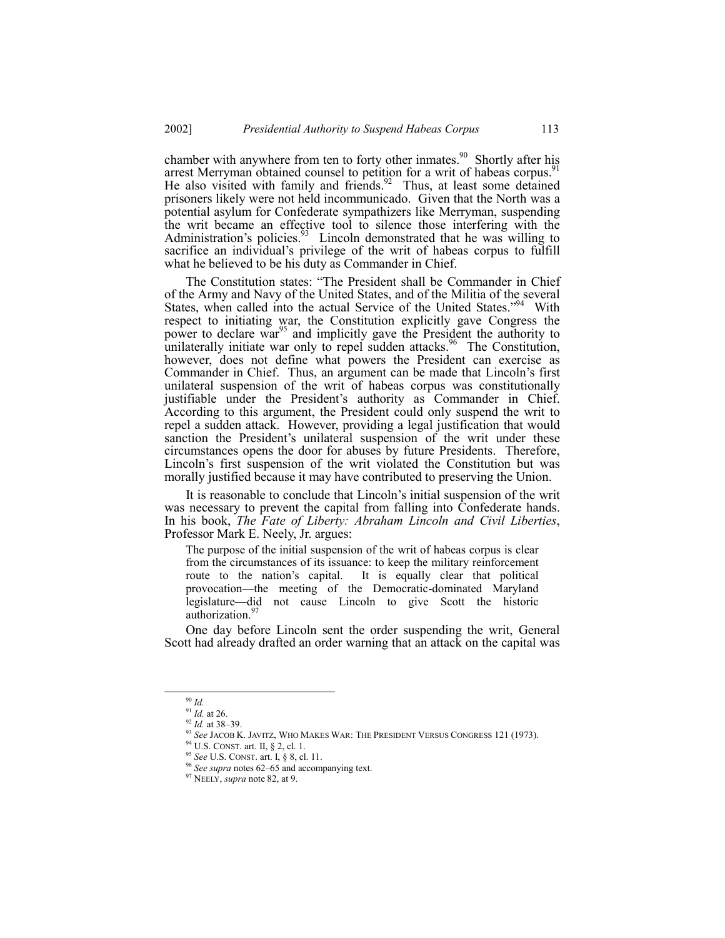chamber with anywhere from ten to forty other inmates.<sup>90</sup> Shortly after his arrest Merryman obtained counsel to petition for a writ of habeas corpus.<sup>5</sup> He also visited with family and friends. $92$  Thus, at least some detained prisoners likely were not held incommunicado. Given that the North was a potential asylum for Confederate sympathizers like Merryman, suspending the writ became an effective tool to silence those interfering with the Administration's policies.<sup>93</sup> Lincoln demonstrated that he was willing to sacrifice an individual's privilege of the writ of habeas corpus to fulfill what he believed to be his duty as Commander in Chief.

The Constitution states: "The President shall be Commander in Chief of the Army and Navy of the United States, and of the Militia of the several States, when called into the actual Service of the United States."<sup>94</sup> With respect to initiating war, the Constitution explicitly gave Congress the power to declare war<sup>95</sup> and implicitly gave the President the authority to unilaterally initiate war only to repel sudden attacks.<sup>96</sup> The Constitution, however, does not define what powers the President can exercise as Commander in Chief. Thus, an argument can be made that Lincoln's first unilateral suspension of the writ of habeas corpus was constitutionally justifiable under the President's authority as Commander in Chief. According to this argument, the President could only suspend the writ to repel a sudden attack. However, providing a legal justification that would sanction the President's unilateral suspension of the writ under these circumstances opens the door for abuses by future Presidents. Therefore, Lincoln's first suspension of the writ violated the Constitution but was morally justified because it may have contributed to preserving the Union.

It is reasonable to conclude that Lincoln's initial suspension of the writ was necessary to prevent the capital from falling into Confederate hands. In his book, *The Fate of Liberty: Abraham Lincoln and Civil Liberties*, Professor Mark E. Neely, Jr. argues:

The purpose of the initial suspension of the writ of habeas corpus is clear from the circumstances of its issuance: to keep the military reinforcement route to the nation's capital. It is equally clear that political provocation—the meeting of the Democratic-dominated Maryland legislature—did not cause Lincoln to give Scott the historic authorization.<sup>9</sup>

One day before Lincoln sent the order suspending the writ, General Scott had already drafted an order warning that an attack on the capital was

 <sup>90</sup> *Id.*

<sup>91</sup> *Id.* at 26.

<sup>&</sup>lt;sup>92</sup> *Id.* at 38–39.

<sup>93</sup> *See* JACOB K. JAVITZ, WHO MAKES WAR: THE PRESIDENT VERSUS CONGRESS 121 (1973).

<sup>94</sup> U.S. CONST. art. II, ß 2, cl. 1.

<sup>95</sup> *See* U.S. CONST. art. I, ß 8, cl. 11.

<sup>&</sup>lt;sup>96</sup> See supra notes 62–65 and accompanying text.

<sup>97</sup> NEELY, *supra* note 82, at 9.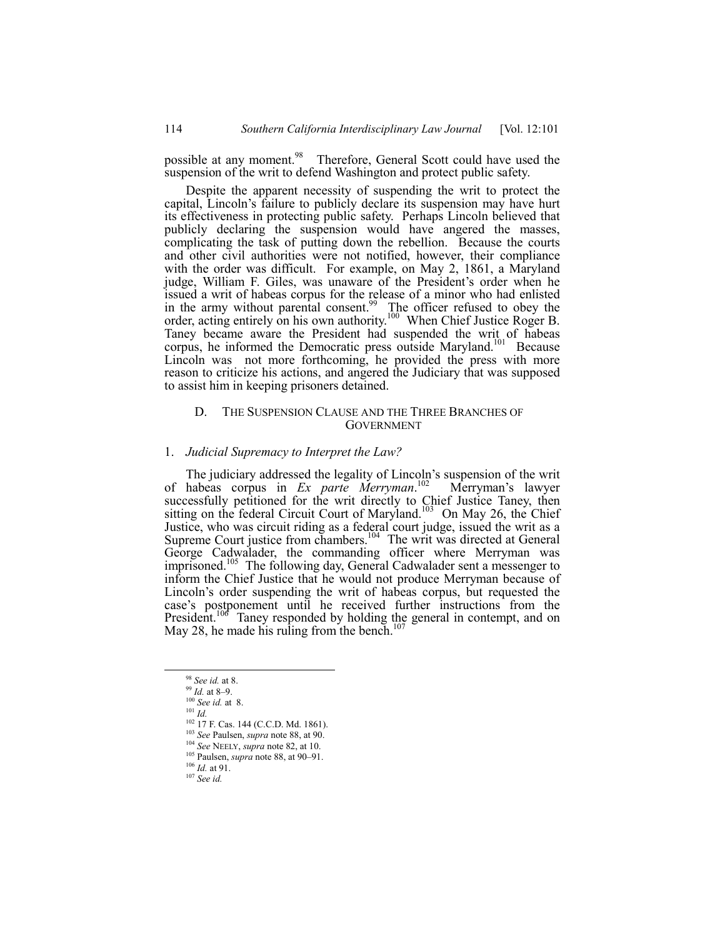possible at any moment.<sup>98</sup> Therefore, General Scott could have used the suspension of the writ to defend Washington and protect public safety.

Despite the apparent necessity of suspending the writ to protect the capital, Lincoln's failure to publicly declare its suspension may have hurt its effectiveness in protecting public safety. Perhaps Lincoln believed that publicly declaring the suspension would have angered the masses, complicating the task of putting down the rebellion. Because the courts and other civil authorities were not notified, however, their compliance with the order was difficult. For example, on May 2, 1861, a Maryland judge, William F. Giles, was unaware of the President's order when he issued a writ of habeas corpus for the release of a minor who had enlisted in the army without parental consent.<sup>99</sup> The officer refused to obey the order, acting entirely on his own authority.<sup>100</sup> When Chief Justice Roger B. Taney became aware the President had suspended the writ of habeas corpus, he informed the Democratic press outside Maryland.<sup>101</sup> Because Lincoln was not more forthcoming, he provided the press with more reason to criticize his actions, and angered the Judiciary that was supposed to assist him in keeping prisoners detained.

# D. THE SUSPENSION CLAUSE AND THE THREE BRANCHES OF **GOVERNMENT**

#### 1. *Judicial Supremacy to Interpret the Law?*

The judiciary addressed the legality of Lincoln's suspension of the writ of habeas corpus in *Ex parte Merryman*.<sup>102</sup> Merryman's lawyer successfully petitioned for the writ directly to Chief Justice Taney, then sitting on the federal Circuit Court of Maryland.<sup>103</sup> On May 26, the Chief Justice, who was circuit riding as a federal court judge, issued the writ as a Supreme Court justice from chambers.<sup>104</sup> The writ was directed at General George Cadwalader, the commanding officer where Merryman was imprisoned.<sup>105</sup> The following day, General Cadwalader sent a messenger to inform the Chief Justice that he would not produce Merryman because of Lincoln's order suspending the writ of habeas corpus, but requested the case's postponement until he received further instructions from the President.<sup>106</sup> Taney responded by holding the general in contempt, and on May 28, he made his ruling from the bench. $107$ 

 <sup>98</sup> *See id.* at 8.

<sup>&</sup>lt;sup>99</sup> *Id.* at 8-9.

<sup>100</sup> *See id.* at 8.  $101$   $\tilde{I}$ *d*.

<sup>&</sup>lt;sup>102</sup> 17 F. Cas. 144 (C.C.D. Md. 1861).

<sup>103</sup> *See* Paulsen, *supra* note 88, at 90.

<sup>104</sup> *See* NEELY, *supra* note 82, at 10. <sup>105</sup> Paulsen, *supra* note 88, at 90–91.

<sup>106</sup> *Id.* at 91.

<sup>107</sup> *See id.*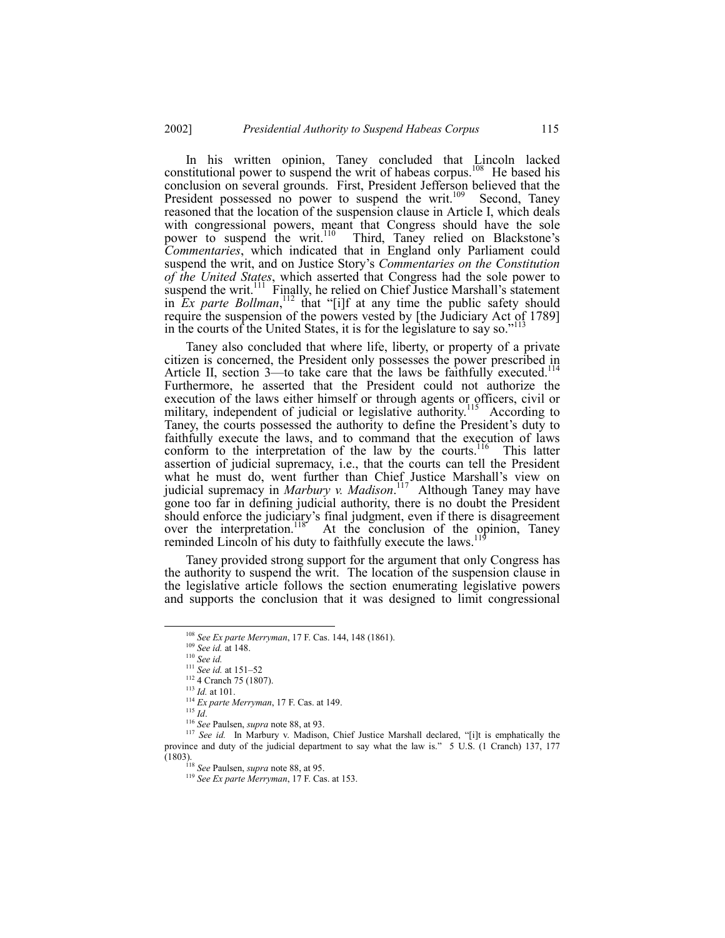In his written opinion, Taney concluded that Lincoln lacked constitutional power to suspend the writ of habeas corpus.<sup>108</sup> He based his conclusion on several grounds. First, President Jefferson believed that the President possessed no power to suspend the writ.<sup>109</sup> Second, Taney reasoned that the location of the suspension clause in Article I, which deals with congressional powers, meant that Congress should have the sole power to suspend the writ.<sup>110</sup> Third, Taney relied on Blackstone's *Commentaries*, which indicated that in England only Parliament could suspend the writ, and on Justice Story's *Commentaries on the Constitution of the United States*, which asserted that Congress had the sole power to suspend the writ.<sup>111</sup> Finally, he relied on Chief Justice Marshall's statement in  $\overline{E}x$  parte Bollman,<sup>112</sup> that "[i]f at any time the public safety should require the suspension of the powers vested by [the Judiciary Act of 1789] in the courts of the United States, it is for the legislature to say so.<sup> $113$ </sup>

Taney also concluded that where life, liberty, or property of a private citizen is concerned, the President only possesses the power prescribed in Article II, section  $3$ —to take care that the laws be faithfully executed.<sup>114</sup> Furthermore, he asserted that the President could not authorize the execution of the laws either himself or through agents or officers, civil or military, independent of judicial or legislative authority.<sup>115</sup> According to Taney, the courts possessed the authority to define the President's duty to faithfully execute the laws, and to command that the execution of laws conform to the interpretation of the law by the courts.<sup>116</sup> This latter assertion of judicial supremacy, i.e., that the courts can tell the President what he must do, went further than Chief Justice Marshall's view on judicial supremacy in *Marbury v. Madison*. 117 Although Taney may have gone too far in defining judicial authority, there is no doubt the President should enforce the judiciary's final judgment, even if there is disagreement over the interpretation.<sup>118</sup> At the conclusion of the opinion, Taney reminded Lincoln of his duty to faithfully execute the laws.<sup>1</sup>

Taney provided strong support for the argument that only Congress has the authority to suspend the writ. The location of the suspension clause in the legislative article follows the section enumerating legislative powers and supports the conclusion that it was designed to limit congressional

 <sup>108</sup> *See Ex parte Merryman*, 17 F. Cas. 144, 148 (1861).

<sup>109</sup> *See id.* at 148.

<sup>110</sup> *See id.*

 $\frac{111}{2}$  *See id.* at 151–52

<sup>&</sup>lt;sup>112</sup> 4 Cranch 75 (1807).

<sup>113</sup> *Id.* at 101.

<sup>114</sup> *Ex parte Merryman*, 17 F. Cas. at 149.

<sup>115</sup> *Id*.

<sup>116</sup> *See* Paulsen, *supra* note 88, at 93.

<sup>&</sup>lt;sup>117</sup> See id. In Marbury v. Madison, Chief Justice Marshall declared, "[i]t is emphatically the province and duty of the judicial department to say what the law is.î 5 U.S. (1 Cranch) 137, 177 (1803).

<sup>118</sup> *See* Paulsen, *supra* note 88, at 95.

<sup>119</sup> *See Ex parte Merryman*, 17 F. Cas. at 153.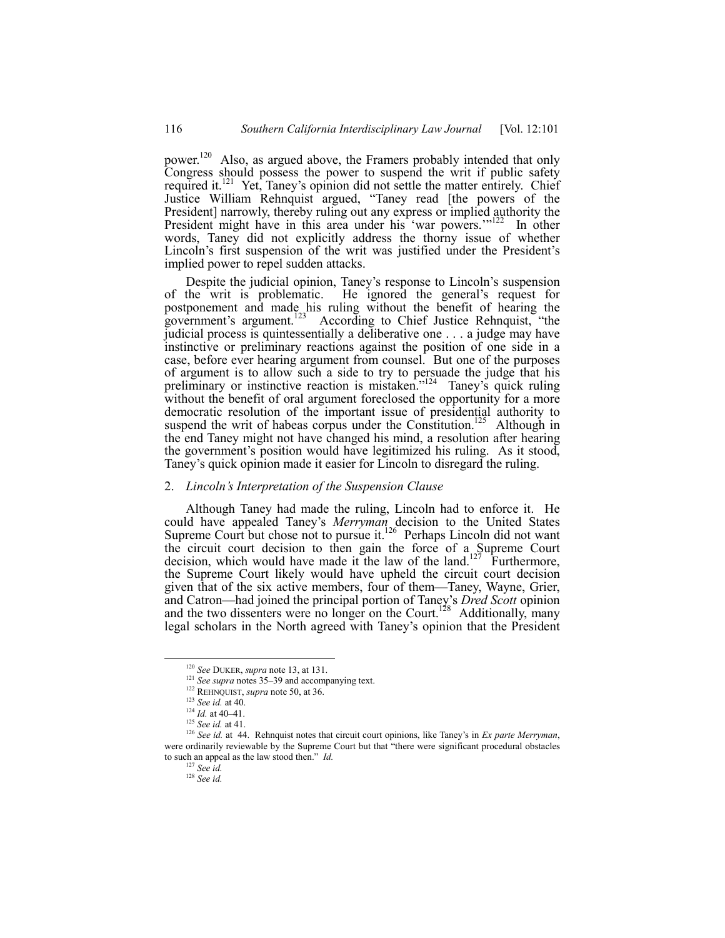power.<sup>120</sup> Also, as argued above, the Framers probably intended that only Congress should possess the power to suspend the writ if public safety required it.<sup>121</sup> Yet, Taney's opinion did not settle the matter entirely. Chief Justice William Rehnquist argued, "Taney read [the powers of the President] narrowly, thereby ruling out any express or implied authority the President might have in this area under his 'war powers."<sup>122</sup> In other words, Taney did not explicitly address the thorny issue of whether Lincoln's first suspension of the writ was justified under the President's implied power to repel sudden attacks.

Despite the judicial opinion, Taney's response to Lincoln's suspension of the writ is problematic. He ignored the general's request for postponement and made his ruling without the benefit of hearing the government's argument.<sup>123</sup> According to Chief Justice Rehnquist, "the judicial process is quintessentially a deliberative one . . . a judge may have instinctive or preliminary reactions against the position of one side in a case, before ever hearing argument from counsel. But one of the purposes of argument is to allow such a side to try to persuade the judge that his preliminary or instinctive reaction is mistaken.<sup>7124</sup> Taney's quick ruling without the benefit of oral argument foreclosed the opportunity for a more democratic resolution of the important issue of presidential authority to suspend the writ of habeas corpus under the Constitution.<sup>125</sup> Although in the end Taney might not have changed his mind, a resolution after hearing the government's position would have legitimized his ruling. As it stood, Taney's quick opinion made it easier for Lincoln to disregard the ruling.

#### 2. *Lincolnís Interpretation of the Suspension Clause*

Although Taney had made the ruling, Lincoln had to enforce it. He could have appealed Taney's *Merryman* decision to the United States Supreme Court but chose not to pursue it.<sup>126</sup> Perhaps Lincoln did not want the circuit court decision to then gain the force of a Supreme Court decision, which would have made it the law of the land.<sup>127</sup> Furthermore, the Supreme Court likely would have upheld the circuit court decision given that of the six active members, four of them—Taney, Wayne, Grier, and Catron—had joined the principal portion of Taney's *Dred Scott* opinion and the two dissenters were no longer on the Court.<sup>128</sup> Additionally, many legal scholars in the North agreed with Taney's opinion that the President

 <sup>120</sup> *See* DUKER, *supra* note 13, at 131.

 $121$  See *supra* notes 35–39 and accompanying text.

<sup>&</sup>lt;sup>122</sup> REHNQUIST, *supra* note 50, at 36.

<sup>123</sup> *See id.* at 40.

 $124$  *Id.* at 40–41.

<sup>125</sup> *See id.* at 41.

<sup>&</sup>lt;sup>126</sup> *See id.* at 44. Rehnquist notes that circuit court opinions, like Taney's in *Ex parte Merryman*, were ordinarily reviewable by the Supreme Court but that "there were significant procedural obstacles to such an appeal as the law stood then.<sup>"</sup> *Id.* 

<sup>127</sup> *See id.*

<sup>128</sup> *See id.*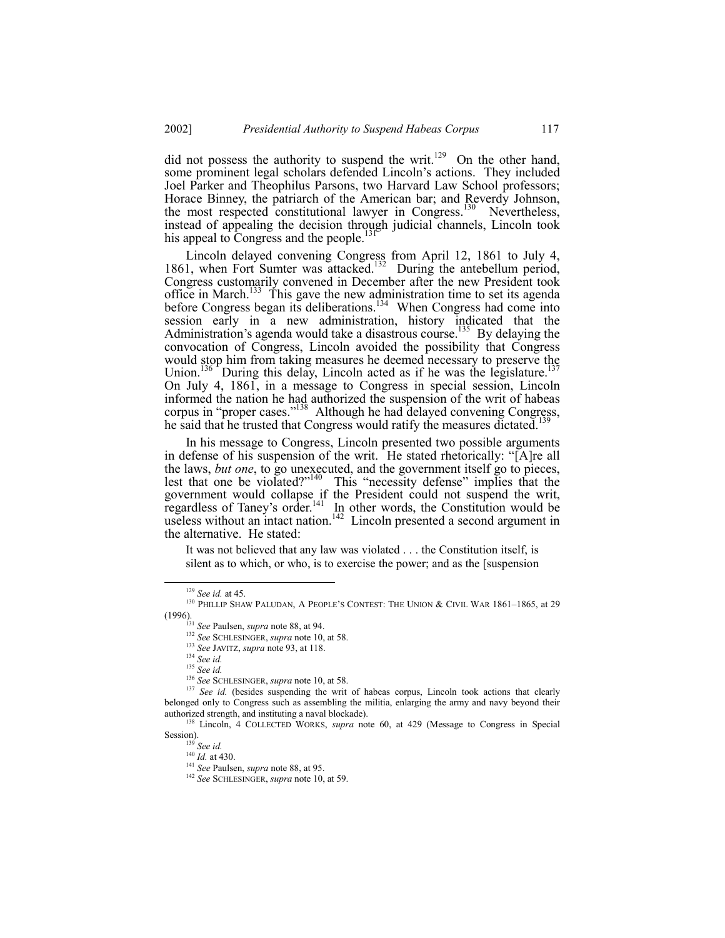did not possess the authority to suspend the writ.<sup>129</sup> On the other hand, some prominent legal scholars defended Lincoln's actions. They included Joel Parker and Theophilus Parsons, two Harvard Law School professors; Horace Binney, the patriarch of the American bar; and Reverdy Johnson, the most respected constitutional lawyer in Congress.<sup>130</sup> Nevertheless, instead of appealing the decision through judicial channels, Lincoln took his appeal to Congress and the people.<sup>13</sup>

Lincoln delayed convening Congress from April 12, 1861 to July 4, 1861, when Fort Sumter was attacked.<sup>132</sup> During the antebellum period, Congress customarily convened in December after the new President took office in March.<sup>133</sup> This gave the new administration time to set its agenda before Congress began its deliberations.<sup>134</sup> When Congress had come into session early in a new administration, history indicated that the Administration's agenda would take a disastrous course.<sup>135</sup> By delaying the convocation of Congress, Lincoln avoided the possibility that Congress would stop him from taking measures he deemed necessary to preserve the Union.<sup>136</sup> During this delay, Lincoln acted as if he was the legislature.<sup>137</sup> On July 4, 1861, in a message to Congress in special session, Lincoln informed the nation he had authorized the suspension of the writ of habeas corpus in "proper cases." $\frac{138}{9}$  Although he had delayed convening Congress, he said that he trusted that Congress would ratify the measures dictated.<sup>139</sup>

In his message to Congress, Lincoln presented two possible arguments in defense of his suspension of the writ. He stated rhetorically: "[A]re all the laws, *but one*, to go unexecuted, and the government itself go to pieces, lest that one be violated?"<sup>140</sup> This "necessity defense" implies that the government would collapse if the President could not suspend the writ, regardless of Taney's order.<sup>141</sup> In other words, the Constitution would be useless without an intact nation.<sup>142</sup> Lincoln presented a second argument in the alternative. He stated:

It was not believed that any law was violated . . . the Constitution itself, is silent as to which, or who, is to exercise the power; and as the [suspension

<sup>139</sup> *See id.*

 <sup>129</sup> *See id.* at 45.

 $130$  PHILLIP SHAW PALUDAN, A PEOPLE'S CONTEST: THE UNION & CIVIL WAR 1861-1865, at 29 (1996).

<sup>131</sup> *See* Paulsen, *supra* note 88, at 94.

<sup>132</sup> *See* SCHLESINGER, *supra* note 10, at 58.

<sup>133</sup> *See* JAVITZ, *supra* note 93, at 118.

<sup>134</sup> *See id.*

<sup>135</sup> *See id.*

<sup>136</sup> *See* SCHLESINGER, *supra* note 10, at 58.

<sup>&</sup>lt;sup>137</sup> See id. (besides suspending the writ of habeas corpus, Lincoln took actions that clearly belonged only to Congress such as assembling the militia, enlarging the army and navy beyond their authorized strength, and instituting a naval blockade).

<sup>138</sup> Lincoln, 4 COLLECTED WORKS, *supra* note 60, at 429 (Message to Congress in Special Session).

<sup>140</sup> *Id.* at 430.

<sup>141</sup> *See* Paulsen, *supra* note 88, at 95.

<sup>142</sup> *See* SCHLESINGER, *supra* note 10, at 59.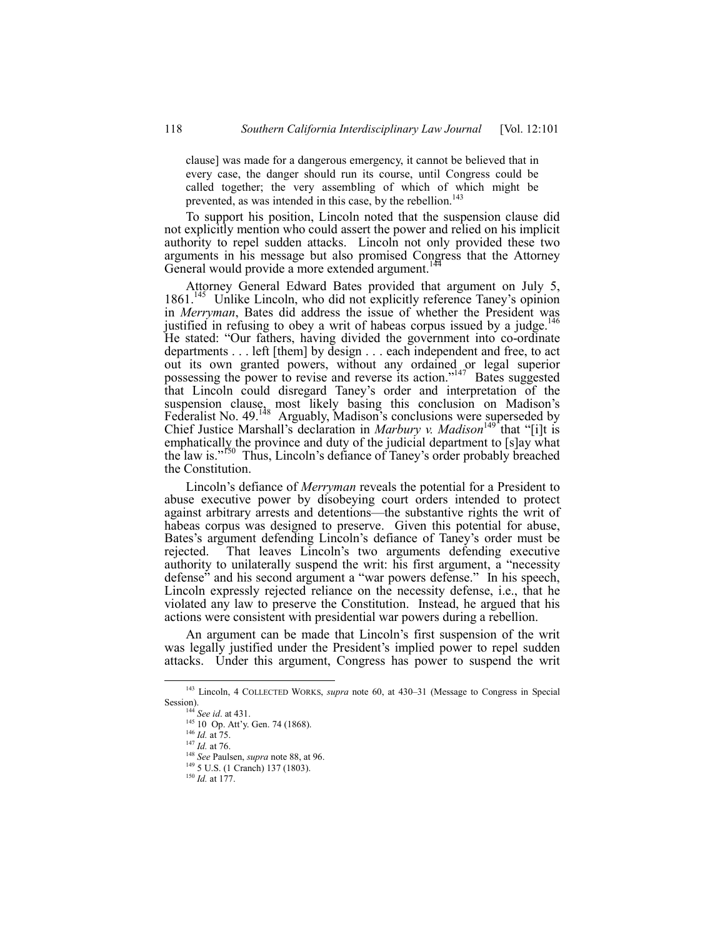clause] was made for a dangerous emergency, it cannot be believed that in every case, the danger should run its course, until Congress could be called together; the very assembling of which of which might be prevented, as was intended in this case, by the rebellion.<sup>143</sup>

To support his position, Lincoln noted that the suspension clause did not explicitly mention who could assert the power and relied on his implicit authority to repel sudden attacks. Lincoln not only provided these two arguments in his message but also promised Congress that the Attorney General would provide a more extended argument.<sup>144</sup>

Attorney General Edward Bates provided that argument on July 5, 1861.<sup>145</sup> Unlike Lincoln, who did not explicitly reference Taney's opinion in *Merryman*, Bates did address the issue of whether the President was justified in refusing to obey a writ of habeas corpus issued by a judge.<sup>146</sup> He stated: "Our fathers, having divided the government into co-ordinate departments . . . left [them] by design . . . each independent and free, to act out its own granted powers, without any ordained or legal superior possessing the power to revise and reverse its action.<sup> $147$ </sup> Bates suggested that Lincoln could disregard Taneyís order and interpretation of the suspension clause, most likely basing this conclusion on Madison's Federalist No. 49.<sup>148</sup> Arguably, Madison's conclusions were superseded by Chief Justice Marshall's declaration in *Marbury v. Madison*<sup>149</sup> that "[i]t is emphatically the province and duty of the judicial department to [s]ay what the law is.<sup>"150</sup> Thus, Lincoln's defiance of Taney's order probably breached the Constitution.

Lincoln's defiance of *Merryman* reveals the potential for a President to abuse executive power by disobeying court orders intended to protect against arbitrary arrests and detentions—the substantive rights the writ of habeas corpus was designed to preserve. Given this potential for abuse, Bates's argument defending Lincoln's defiance of Taney's order must be rejected. That leaves Lincoln's two arguments defending executive authority to unilaterally suspend the writ: his first argument, a "necessity defense" and his second argument a "war powers defense." In his speech, Lincoln expressly rejected reliance on the necessity defense, i.e., that he violated any law to preserve the Constitution. Instead, he argued that his actions were consistent with presidential war powers during a rebellion.

An argument can be made that Lincoln's first suspension of the writ was legally justified under the President's implied power to repel sudden attacks. Under this argument, Congress has power to suspend the writ

<sup>&</sup>lt;sup>143</sup> Lincoln, 4 COLLECTED WORKS, *supra* note 60, at 430–31 (Message to Congress in Special Session).

<sup>144</sup> *See id*. at 431.

 $145$  10 Op. Att'y. Gen. 74 (1868).

<sup>146</sup> *Id.* at 75.

<sup>147</sup> *Id.* at 76.

<sup>148</sup> *See* Paulsen, *supra* note 88, at 96.

<sup>&</sup>lt;sup>149</sup> 5 U.S. (1 Cranch) 137 (1803).

<sup>150</sup> *Id.* at 177.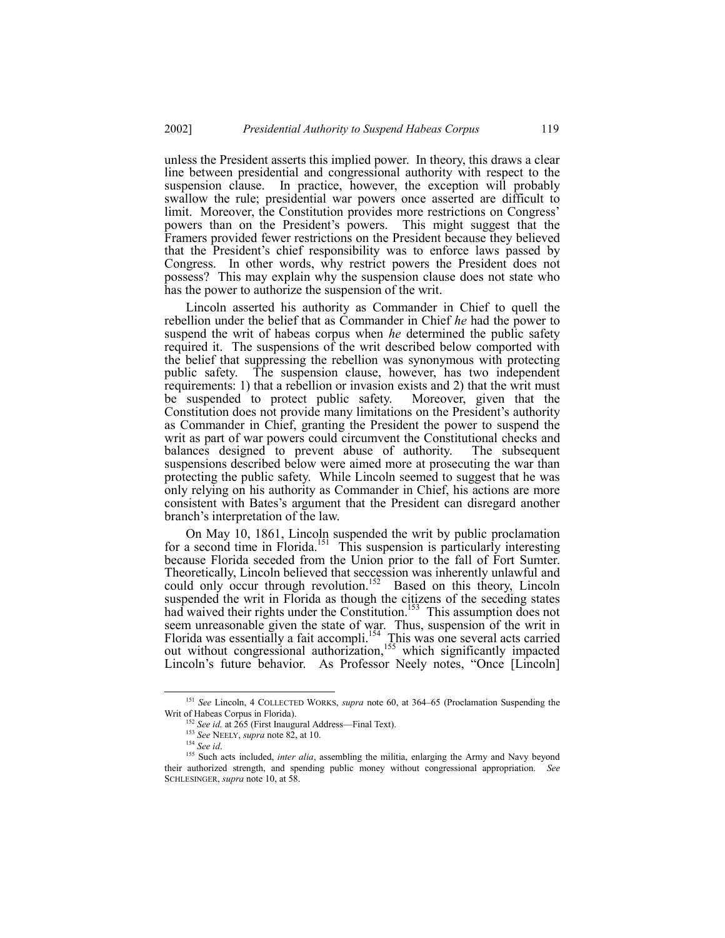unless the President asserts this implied power. In theory, this draws a clear line between presidential and congressional authority with respect to the suspension clause. In practice, however, the exception will probably swallow the rule; presidential war powers once asserted are difficult to limit. Moreover, the Constitution provides more restrictions on Congress' powers than on the President's powers. This might suggest that the Framers provided fewer restrictions on the President because they believed that the President's chief responsibility was to enforce laws passed by Congress. In other words, why restrict powers the President does not possess? This may explain why the suspension clause does not state who has the power to authorize the suspension of the writ.

Lincoln asserted his authority as Commander in Chief to quell the rebellion under the belief that as Commander in Chief *he* had the power to suspend the writ of habeas corpus when *he* determined the public safety required it. The suspensions of the writ described below comported with the belief that suppressing the rebellion was synonymous with protecting public safety. The suspension clause, however, has two independent requirements: 1) that a rebellion or invasion exists and 2) that the writ must be suspended to protect public safety. Moreover, given that the Constitution does not provide many limitations on the President's authority as Commander in Chief, granting the President the power to suspend the writ as part of war powers could circumvent the Constitutional checks and balances designed to prevent abuse of authority. The subsequent suspensions described below were aimed more at prosecuting the war than protecting the public safety. While Lincoln seemed to suggest that he was only relying on his authority as Commander in Chief, his actions are more consistent with Batesís argument that the President can disregard another branch's interpretation of the law.

On May 10, 1861, Lincoln suspended the writ by public proclamation for a second time in Florida.<sup>151</sup> This suspension is particularly interesting because Florida seceded from the Union prior to the fall of Fort Sumter. Theoretically, Lincoln believed that seccession was inherently unlawful and could only occur through revolution.<sup>152</sup> Based on this theory, Lincoln suspended the writ in Florida as though the citizens of the seceding states had waived their rights under the Constitution.<sup>153</sup> This assumption does not seem unreasonable given the state of war. Thus, suspension of the writ in Florida was essentially a fait accompli.<sup>154</sup> This was one several acts carried out without congressional authorization,<sup>155</sup> which significantly impacted Lincoln's future behavior. As Professor Neely notes, "Once [Lincoln]

<sup>&</sup>lt;sup>151</sup> See Lincoln, 4 COLLECTED WORKS, *supra* note 60, at 364-65 (Proclamation Suspending the Writ of Habeas Corpus in Florida).

<sup>&</sup>lt;sup>152</sup> See id. at 265 (First Inaugural Address—Final Text).

<sup>153</sup> *See* NEELY, *supra* note 82, at 10.

<sup>154</sup> *See id*.

<sup>&</sup>lt;sup>155</sup> Such acts included, *inter alia*, assembling the militia, enlarging the Army and Navy beyond their authorized strength, and spending public money without congressional appropriation. *See* SCHLESINGER, *supra* note 10, at 58.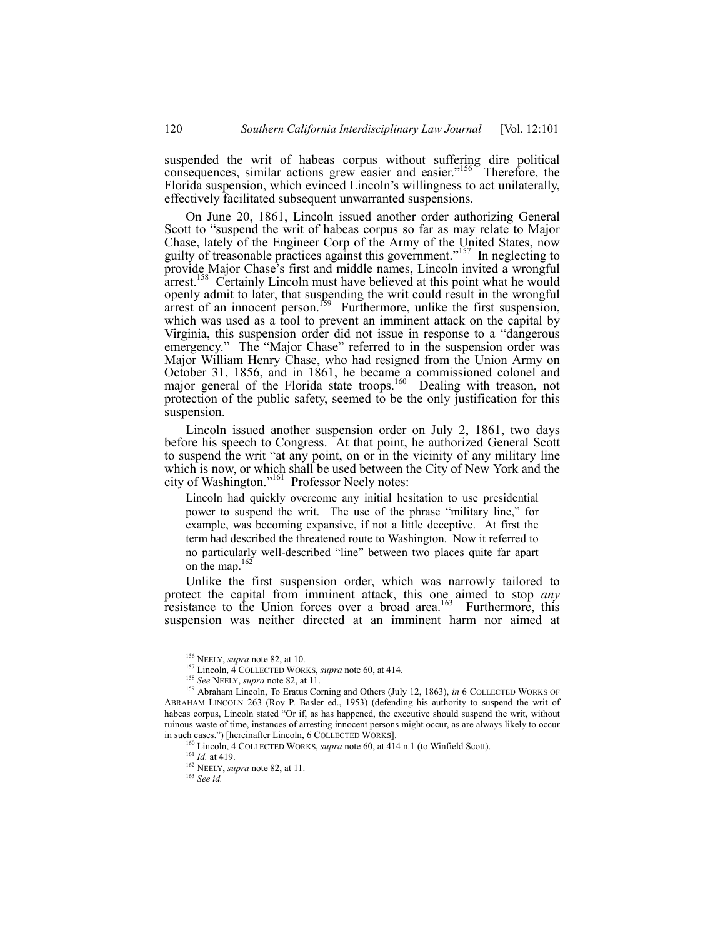suspended the writ of habeas corpus without suffering dire political consequences, similar actions grew easier and easier."<sup>156</sup> Therefore, the Florida suspension, which evinced Lincoln's willingness to act unilaterally, effectively facilitated subsequent unwarranted suspensions.

On June 20, 1861, Lincoln issued another order authorizing General Scott to "suspend the writ of habeas corpus so far as may relate to Major Chase, lately of the Engineer Corp of the Army of the United States, now guilty of treasonable practices against this government.<sup> $157$ </sup> In neglecting to provide Major Chase's first and middle names, Lincoln invited a wrongful arrest.<sup>158</sup> Certainly Lincoln must have believed at this point what he would openly admit to later, that suspending the writ could result in the wrongful arrest of an innocent person.<sup>159</sup> Furthermore, unlike the first suspension, which was used as a tool to prevent an imminent attack on the capital by Virginia, this suspension order did not issue in response to a "dangerous" emergency." The "Major Chase" referred to in the suspension order was Major William Henry Chase, who had resigned from the Union Army on October 31, 1856, and in 1861, he became a commissioned colonel and major general of the Florida state troops.<sup>160</sup> Dealing with treason, not protection of the public safety, seemed to be the only justification for this suspension.

Lincoln issued another suspension order on July 2, 1861, two days before his speech to Congress. At that point, he authorized General Scott to suspend the writ "at any point, on or in the vicinity of any military line which is now, or which shall be used between the City of New York and the city of Washington."<sup>161</sup> Professor Neely notes:

Lincoln had quickly overcome any initial hesitation to use presidential power to suspend the writ. The use of the phrase "military line," for example, was becoming expansive, if not a little deceptive. At first the term had described the threatened route to Washington. Now it referred to no particularly well-described "line" between two places quite far apart on the map.<sup>162</sup>

Unlike the first suspension order, which was narrowly tailored to protect the capital from imminent attack, this one aimed to stop *any* resistance to the Union forces over a broad area.<sup>163</sup> Furthermore, this suspension was neither directed at an imminent harm nor aimed at

 <sup>156</sup> NEELY, *supra* note 82, at 10.

<sup>157</sup> Lincoln, 4 COLLECTED WORKS, *supra* note 60, at 414.

<sup>158</sup> *See* NEELY, *supra* note 82, at 11.

<sup>159</sup> Abraham Lincoln, To Eratus Corning and Others (July 12, 1863), *in* 6 COLLECTED WORKS OF ABRAHAM LINCOLN 263 (Roy P. Basler ed., 1953) (defending his authority to suspend the writ of habeas corpus, Lincoln stated "Or if, as has happened, the executive should suspend the writ, without ruinous waste of time, instances of arresting innocent persons might occur, as are always likely to occur in such cases.") [hereinafter Lincoln, 6 COLLECTED WORKS].

<sup>160</sup> Lincoln, 4 COLLECTED WORKS, *supra* note 60, at 414 n.1 (to Winfield Scott).

<sup>161</sup> *Id.* at 419.

<sup>162</sup> NEELY, *supra* note 82, at 11.

<sup>163</sup> *See id.*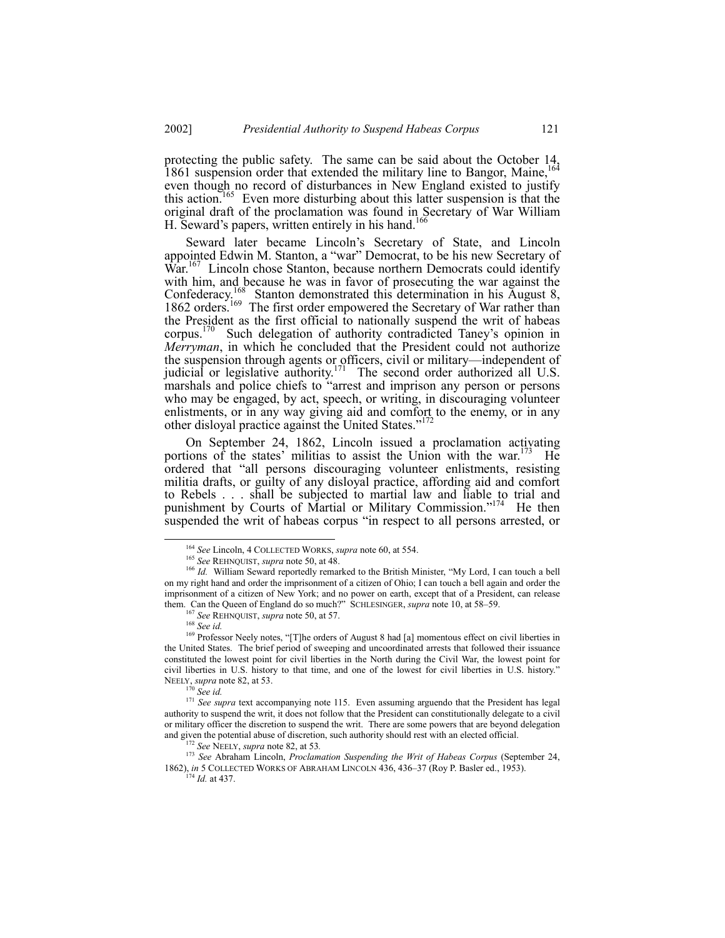protecting the public safety. The same can be said about the October 14, 1861 suspension order that extended the military line to Bangor, Maine, <sup>164</sup> even though no record of disturbances in New England existed to justify this action.<sup>165</sup> Even more disturbing about this latter suspension is that the original draft of the proclamation was found in Secretary of War William H. Seward's papers, written entirely in his hand.<sup>166</sup>

Seward later became Lincoln's Secretary of State, and Lincoln appointed Edwin M. Stanton, a "war" Democrat, to be his new Secretary of War.<sup>167</sup> Lincoln chose Stanton, because northern Democrats could identify with him, and because he was in favor of prosecuting the war against the Confederacy.<sup>168</sup> Stanton demonstrated this determination in his August 8, 1862 orders.<sup>169</sup> The first order empowered the Secretary of War rather than the President as the first official to nationally suspend the writ of habeas corpus.<sup>170</sup> Such delegation of authority contradicted Taney's opinion in *Merryman*, in which he concluded that the President could not authorize the suspension through agents or officers, civil or military—independent of judicial or legislative authority.<sup>171</sup> The second order authorized all U.S. marshals and police chiefs to "arrest and imprison any person or persons who may be engaged, by act, speech, or writing, in discouraging volunteer enlistments, or in any way giving aid and comfort to the enemy, or in any other disloyal practice against the United States."<sup>172</sup>

On September 24, 1862, Lincoln issued a proclamation activating portions of the states' militias to assist the Union with the war.<sup>173</sup> He ordered that "all persons discouraging volunteer enlistments, resisting militia drafts, or guilty of any disloyal practice, affording aid and comfort to Rebels . . . shall be subjected to martial law and liable to trial and punishment by Courts of Martial or Military Commission."<sup>174</sup> He then suspended the writ of habeas corpus "in respect to all persons arrested, or

<sup>170</sup> *See id.*

 <sup>164</sup> *See* Lincoln, 4 COLLECTED WORKS, *supra* note 60, at 554.

<sup>165</sup> *See* REHNQUIST, *supra* note 50, at 48.

<sup>&</sup>lt;sup>166</sup> Id. William Seward reportedly remarked to the British Minister, "My Lord, I can touch a bell on my right hand and order the imprisonment of a citizen of Ohio; I can touch a bell again and order the imprisonment of a citizen of New York; and no power on earth, except that of a President, can release them. Can the Queen of England do so much?" SCHLESINGER, *supra* note 10, at 58–59.

<sup>167</sup> *See* REHNQUIST, *supra* note 50, at 57.

<sup>168</sup> *See id.*

<sup>&</sup>lt;sup>169</sup> Professor Neely notes, "[T]he orders of August 8 had [a] momentous effect on civil liberties in the United States. The brief period of sweeping and uncoordinated arrests that followed their issuance constituted the lowest point for civil liberties in the North during the Civil War, the lowest point for civil liberties in U.S. history to that time, and one of the lowest for civil liberties in U.S. history.<sup>n</sup> NEELY, *supra* note 82, at 53.

<sup>&</sup>lt;sup>171</sup> See supra text accompanying note 115. Even assuming arguendo that the President has legal authority to suspend the writ, it does not follow that the President can constitutionally delegate to a civil or military officer the discretion to suspend the writ. There are some powers that are beyond delegation and given the potential abuse of discretion, such authority should rest with an elected official.

<sup>172</sup> *See* NEELY, *supra* note 82, at 53*.*

<sup>173</sup> *See* Abraham Lincoln, *Proclamation Suspending the Writ of Habeas Corpus* (September 24, 1862), *in* 5 COLLECTED WORKS OF ABRAHAM LINCOLN 436, 436-37 (Roy P. Basler ed., 1953).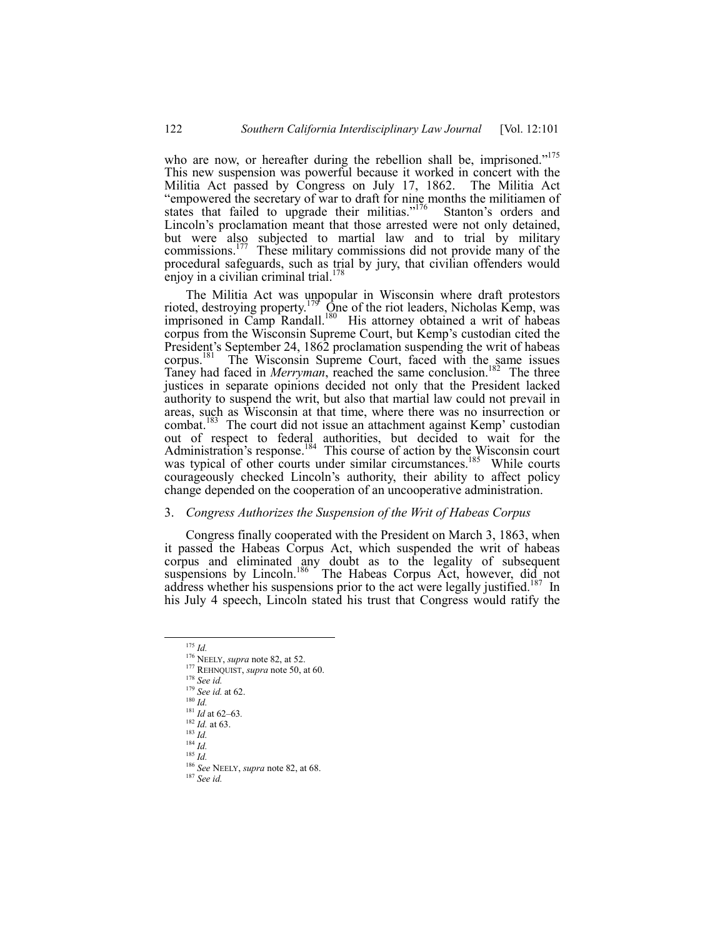who are now, or hereafter during the rebellion shall be, imprisoned.<sup> $175$ </sup> This new suspension was powerful because it worked in concert with the Militia Act passed by Congress on July 17, 1862. The Militia Act ìempowered the secretary of war to draft for nine months the militiamen of states that failed to upgrade their militias.<sup> $176$ </sup> Stanton's orders and Lincoln's proclamation meant that those arrested were not only detained, but were also subjected to martial law and to trial by military commissions.<sup>177</sup> These military commissions did not provide many of the procedural safeguards, such as trial by jury, that civilian offenders would enjoy in a civilian criminal trial.

The Militia Act was unpopular in Wisconsin where draft protestors rioted, destroying property.<sup>179</sup> One of the riot leaders, Nicholas Kemp, was imprisoned in Camp Randall.<sup>180</sup> His attorney obtained a writ of habeas corpus from the Wisconsin Supreme Court, but Kemp's custodian cited the President's September 24, 1862 proclamation suspending the writ of habeas corpus.<sup>181</sup> The Wisconsin Supreme Court, faced with the same issues Taney had faced in *Merryman*, reached the same conclusion.<sup>182</sup> The three justices in separate opinions decided not only that the President lacked authority to suspend the writ, but also that martial law could not prevail in areas, such as Wisconsin at that time, where there was no insurrection or combat.<sup>183</sup> The court did not issue an attachment against Kemp<sup> $\cdot$ </sup> custodian out of respect to federal authorities, but decided to wait for the Administration's response.<sup>184</sup> This course of action by the Wisconsin court was typical of other courts under similar circumstances.<sup>185</sup> While courts courageously checked Lincoln's authority, their ability to affect policy change depended on the cooperation of an uncooperative administration.

#### 3. *Congress Authorizes the Suspension of the Writ of Habeas Corpus*

Congress finally cooperated with the President on March 3, 1863, when it passed the Habeas Corpus Act, which suspended the writ of habeas corpus and eliminated any doubt as to the legality of subsequent suspensions by Lincoln.<sup>186</sup> The Habeas Corpus Act, however, did not address whether his suspensions prior to the act were legally justified.<sup>187</sup> In his July 4 speech, Lincoln stated his trust that Congress would ratify the

- <sup>177</sup> REHNQUIST, *supra* note 50, at 60.
- <sup>178</sup> *See id.*

- <sup>180</sup> *Id.*
- $\frac{181}{16}$  *Id* at 62–63.

- <sup>183</sup> *Id.*
- $184 \frac{184}{10}$
- $rac{185}{185}$  *Id.*

<sup>187</sup> *See id.*

 <sup>175</sup> *Id.*

<sup>176</sup> NEELY, *supra* note 82, at 52.

<sup>179</sup> *See id.* at 62.

<sup>182</sup> *Id.* at 63.

<sup>186</sup> *See* NEELY, *supra* note 82, at 68.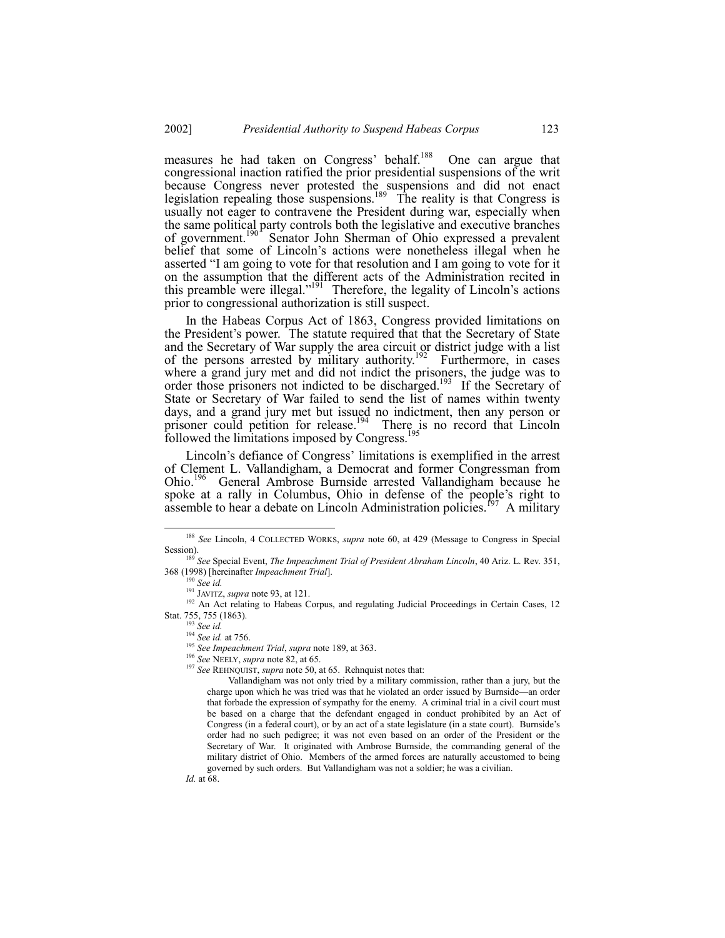measures he had taken on Congress' behalf.<sup>188</sup> One can argue that congressional inaction ratified the prior presidential suspensions of the writ because Congress never protested the suspensions and did not enact legislation repealing those suspensions.<sup>189</sup> The reality is that Congress is usually not eager to contravene the President during war, especially when the same political party controls both the legislative and executive branches of government.<sup>190</sup> Senator John Sherman of Ohio expressed a prevalent belief that some of Lincoln's actions were nonetheless illegal when he asserted "I am going to vote for that resolution and I am going to vote for it on the assumption that the different acts of the Administration recited in this preamble were illegal." $191$  Therefore, the legality of Lincoln's actions prior to congressional authorization is still suspect.

In the Habeas Corpus Act of 1863, Congress provided limitations on the Presidentís power. The statute required that that the Secretary of State and the Secretary of War supply the area circuit or district judge with a list of the persons arrested by military authority.<sup>192</sup> Furthermore, in cases where a grand jury met and did not indict the prisoners, the judge was to order those prisoners not indicted to be discharged.<sup>193</sup> If the Secretary of State or Secretary of War failed to send the list of names within twenty days, and a grand jury met but issued no indictment, then any person or prisoner could petition for release.<sup>194</sup> There is no record that Lincoln followed the limitations imposed by Congress.<sup>195</sup>

Lincoln's defiance of Congress' limitations is exemplified in the arrest of Clement L. Vallandigham, a Democrat and former Congressman from Ohio.196 General Ambrose Burnside arrested Vallandigham because he spoke at a rally in Columbus, Ohio in defense of the people's right to assemble to hear a debate on Lincoln Administration policies.<sup>197</sup> A military

 <sup>188</sup> *See* Lincoln, 4 COLLECTED WORKS, *supra* note 60, at 429 (Message to Congress in Special Session).

<sup>189</sup> *See* Special Event, *The Impeachment Trial of President Abraham Lincoln*, 40 Ariz. L. Rev. 351, 368 (1998) [hereinafter *Impeachment Trial*].

<sup>190</sup> *See id.*

<sup>191</sup> JAVITZ, *supra* note 93, at 121.

<sup>&</sup>lt;sup>192</sup> An Act relating to Habeas Corpus, and regulating Judicial Proceedings in Certain Cases, 12 Stat. 755, 755 (1863).

<sup>193</sup> *See id.*

<sup>194</sup> *See id.* at 756.

<sup>195</sup> *See Impeachment Trial*, *supra* note 189, at 363.

<sup>196</sup> *See* NEELY, *supra* note 82, at 65.

<sup>197</sup> *See* REHNQUIST, *supra* note 50, at 65. Rehnquist notes that:

Vallandigham was not only tried by a military commission, rather than a jury, but the charge upon which he was tried was that he violated an order issued by Burnside—an order that forbade the expression of sympathy for the enemy. A criminal trial in a civil court must be based on a charge that the defendant engaged in conduct prohibited by an Act of Congress (in a federal court), or by an act of a state legislature (in a state court). Burnside's order had no such pedigree; it was not even based on an order of the President or the Secretary of War. It originated with Ambrose Burnside, the commanding general of the military district of Ohio. Members of the armed forces are naturally accustomed to being governed by such orders. But Vallandigham was not a soldier; he was a civilian. *Id.* at 68.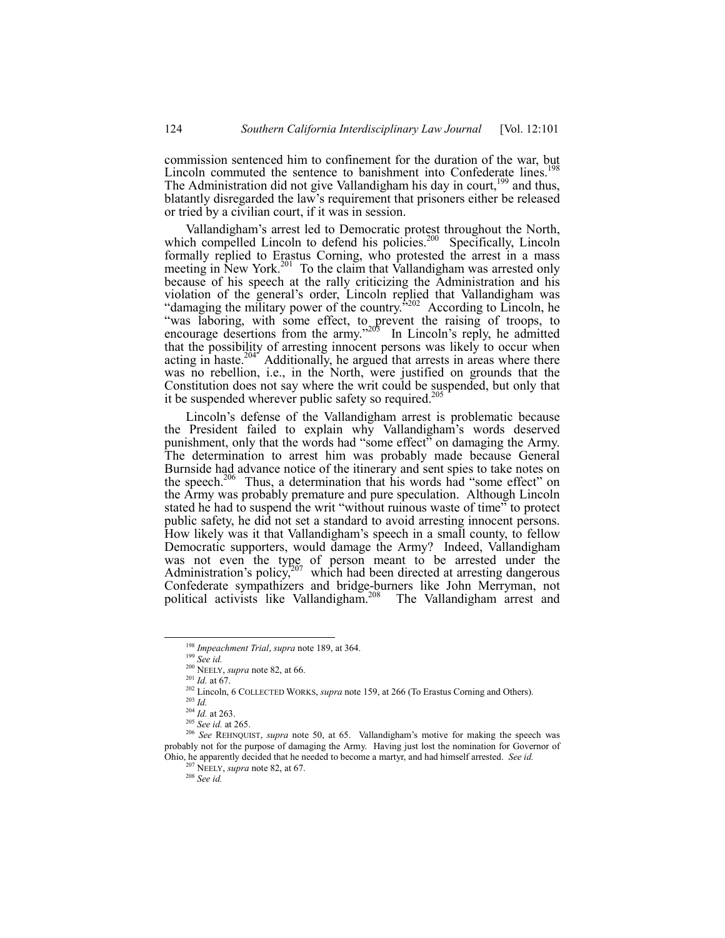commission sentenced him to confinement for the duration of the war, but Lincoln commuted the sentence to banishment into Confederate lines.<sup>1</sup> The Administration did not give Vallandigham his day in court,  $199$  and thus, blatantly disregarded the law's requirement that prisoners either be released or tried by a civilian court, if it was in session.

Vallandigham's arrest led to Democratic protest throughout the North, which compelled Lincoln to defend his policies.<sup>200</sup> Specifically, Lincoln formally replied to Erastus Corning, who protested the arrest in a mass meeting in New York.<sup>201</sup> To the claim that Vallandigham was arrested only because of his speech at the rally criticizing the Administration and his violation of the general's order, Lincoln replied that Vallandigham was "damaging the military power of the country.<sup> $5202$ </sup> According to Lincoln, he ìwas laboring, with some effect, to prevent the raising of troops, to encourage desertions from the army." $20\overline{5}$  In Lincoln's reply, he admitted that the possibility of arresting innocent persons was likely to occur when acting in haste.<sup>204</sup> Additionally, he argued that arrests in areas where there was no rebellion, i.e., in the North, were justified on grounds that the Constitution does not say where the writ could be suspended, but only that it be suspended wherever public safety so required.<sup>20</sup>

Lincoln's defense of the Vallandigham arrest is problematic because the President failed to explain why Vallandigham's words deserved punishment, only that the words had "some effect" on damaging the Army. The determination to arrest him was probably made because General Burnside had advance notice of the itinerary and sent spies to take notes on the speech.<sup>206</sup> Thus, a determination that his words had "some effect" on the Army was probably premature and pure speculation. Although Lincoln stated he had to suspend the writ "without ruinous waste of time" to protect public safety, he did not set a standard to avoid arresting innocent persons. How likely was it that Vallandigham's speech in a small county, to fellow Democratic supporters, would damage the Army? Indeed, Vallandigham was not even the type of person meant to be arrested under the Administration's policy,<sup>207</sup> which had been directed at arresting dangerous Confederate sympathizers and bridge-burners like John Merryman, not political activists like Vallandigham.<sup>208</sup> The Vallandigham arrest and

 <sup>198</sup> *Impeachment Trial*, *supra* note 189, at 364.

<sup>199</sup> *See id.*

<sup>200</sup> NEELY, *supra* note 82, at 66.

<sup>201</sup> *Id.* at 67.

<sup>202</sup> Lincoln, 6 COLLECTED WORKS, *supra* note 159, at 266 (To Erastus Corning and Others).

<sup>203</sup> *Id.*

 $^{204}$  *Id.* at 263.

<sup>205</sup> *See id.* at 265.

<sup>&</sup>lt;sup>206</sup> See REHNQUIST, *supra* note 50, at 65. Vallandigham's motive for making the speech was probably not for the purpose of damaging the Army. Having just lost the nomination for Governor of Ohio, he apparently decided that he needed to become a martyr, and had himself arrested. *See id.*

<sup>207</sup> NEELY, *supra* note 82, at 67.

<sup>208</sup> *See id.*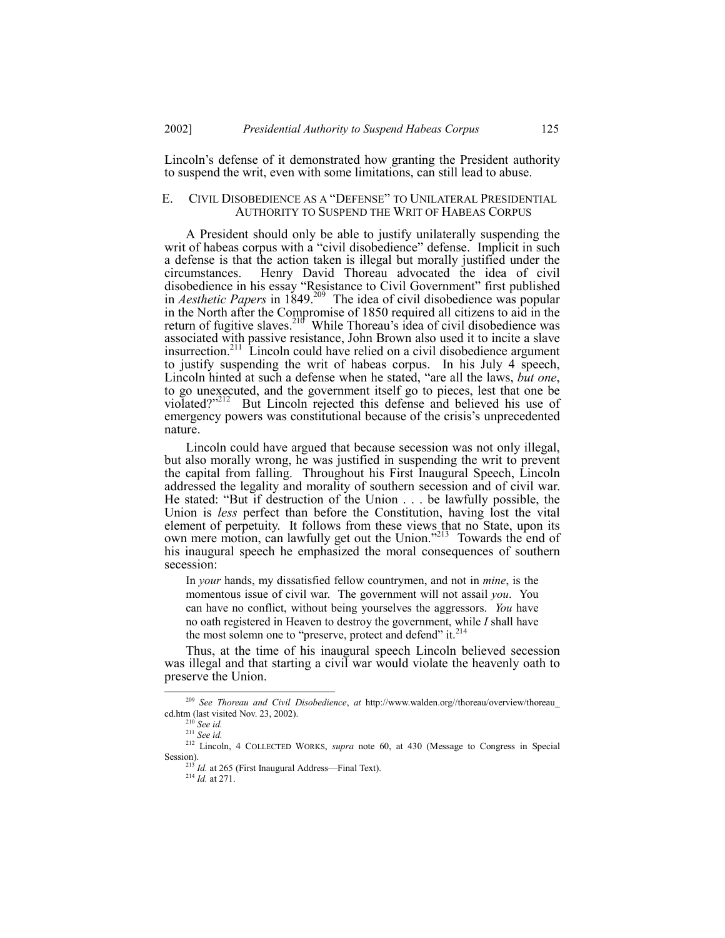Lincoln's defense of it demonstrated how granting the President authority to suspend the writ, even with some limitations, can still lead to abuse.

# E. CIVIL DISOBEDIENCE AS A "DEFENSE" TO UNILATERAL PRESIDENTIAL AUTHORITY TO SUSPEND THE WRIT OF HABEAS CORPUS

A President should only be able to justify unilaterally suspending the writ of habeas corpus with a "civil disobedience" defense. Implicit in such a defense is that the action taken is illegal but morally justified under the circumstances. Henry David Thoreau advocated the idea of civil disobedience in his essay "Resistance to Civil Government" first published in *Aesthetic Papers* in 1849.<sup>209</sup> The idea of civil disobedience was popular in the North after the Compromise of 1850 required all citizens to aid in the return of fugitive slaves.<sup>216</sup> While Thoreau's idea of civil disobedience was associated with passive resistance, John Brown also used it to incite a slave insurrection.211 Lincoln could have relied on a civil disobedience argument to justify suspending the writ of habeas corpus. In his July 4 speech, Lincoln hinted at such a defense when he stated, "are all the laws, *but one*, to go unexecuted, and the government itself go to pieces, lest that one be violated?"<sup>212</sup> But Lincoln rejected this defense and believed his use of emergency powers was constitutional because of the crisis's unprecedented nature.

Lincoln could have argued that because secession was not only illegal, but also morally wrong, he was justified in suspending the writ to prevent the capital from falling. Throughout his First Inaugural Speech, Lincoln addressed the legality and morality of southern secession and of civil war. He stated: "But if destruction of the Union . . . be lawfully possible, the Union is *less* perfect than before the Constitution, having lost the vital element of perpetuity. It follows from these views that no State, upon its own mere motion, can lawfully get out the Union.<sup>7213</sup> Towards the end of his inaugural speech he emphasized the moral consequences of southern secession:

In *your* hands, my dissatisfied fellow countrymen, and not in *mine*, is the momentous issue of civil war. The government will not assail *you*. You can have no conflict, without being yourselves the aggressors. *You* have no oath registered in Heaven to destroy the government, while *I* shall have the most solemn one to "preserve, protect and defend" it. $^{214}$ 

Thus, at the time of his inaugural speech Lincoln believed secession was illegal and that starting a civil war would violate the heavenly oath to preserve the Union.

<sup>214</sup> *Id.* at 271.

 <sup>209</sup> *See Thoreau and Civil Disobedience*, *at* http://www.walden.org//thoreau/overview/thoreau\_ cd.htm (last visited Nov. 23, 2002).

<sup>210</sup> *See id.*

<sup>211</sup> *See id.*

<sup>212</sup> Lincoln, 4 COLLECTED WORKS, *supra* note 60, at 430 (Message to Congress in Special Session).

 $^{213}$  *Id.* at 265 (First Inaugural Address—Final Text).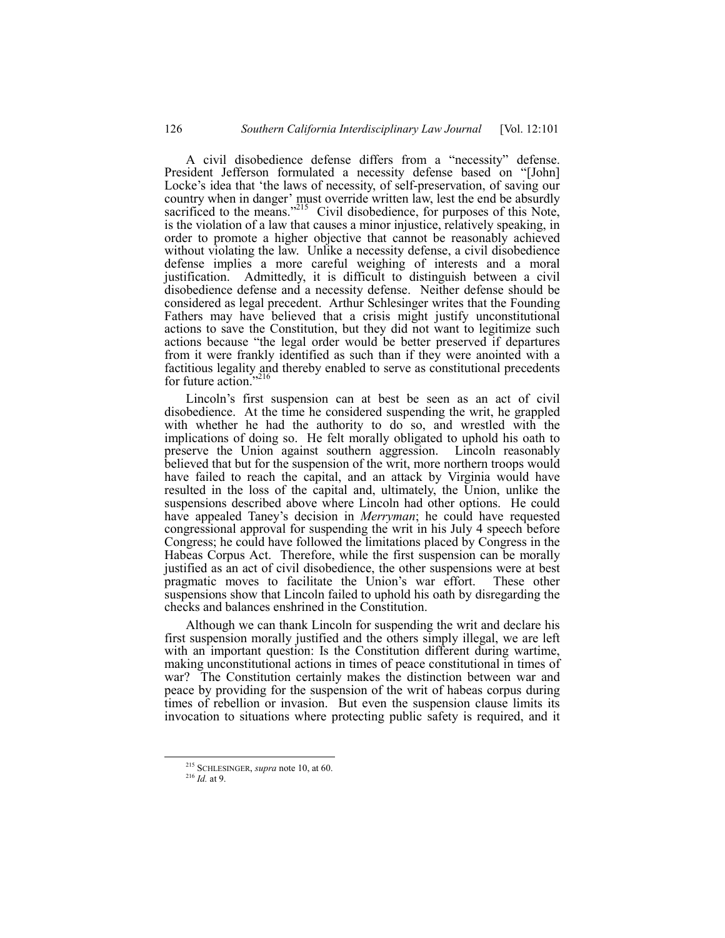A civil disobedience defense differs from a "necessity" defense. President Jefferson formulated a necessity defense based on "[John] Locke's idea that 'the laws of necessity, of self-preservation, of saving our country when in danger' must override written law, lest the end be absurdly sacrificed to the means.<sup>"215</sup> Civil disobedience, for purposes of this Note, is the violation of a law that causes a minor injustice, relatively speaking, in order to promote a higher objective that cannot be reasonably achieved without violating the law. Unlike a necessity defense, a civil disobedience defense implies a more careful weighing of interests and a moral justification. Admittedly, it is difficult to distinguish between a civil disobedience defense and a necessity defense. Neither defense should be considered as legal precedent. Arthur Schlesinger writes that the Founding Fathers may have believed that a crisis might justify unconstitutional actions to save the Constitution, but they did not want to legitimize such actions because "the legal order would be better preserved if departures from it were frankly identified as such than if they were anointed with a factitious legality and thereby enabled to serve as constitutional precedents for future action. $2^{16}$ 

Lincoln's first suspension can at best be seen as an act of civil disobedience. At the time he considered suspending the writ, he grappled with whether he had the authority to do so, and wrestled with the implications of doing so. He felt morally obligated to uphold his oath to preserve the Union against southern aggression. Lincoln reasonably believed that but for the suspension of the writ, more northern troops would have failed to reach the capital, and an attack by Virginia would have resulted in the loss of the capital and, ultimately, the Union, unlike the suspensions described above where Lincoln had other options. He could have appealed Taney's decision in *Merryman*; he could have requested congressional approval for suspending the writ in his July 4 speech before Congress; he could have followed the limitations placed by Congress in the Habeas Corpus Act. Therefore, while the first suspension can be morally justified as an act of civil disobedience, the other suspensions were at best pragmatic moves to facilitate the Union's war effort. These other suspensions show that Lincoln failed to uphold his oath by disregarding the checks and balances enshrined in the Constitution.

Although we can thank Lincoln for suspending the writ and declare his first suspension morally justified and the others simply illegal, we are left with an important question: Is the Constitution different during wartime, making unconstitutional actions in times of peace constitutional in times of war? The Constitution certainly makes the distinction between war and peace by providing for the suspension of the writ of habeas corpus during times of rebellion or invasion. But even the suspension clause limits its invocation to situations where protecting public safety is required, and it

 <sup>215</sup> SCHLESINGER, *supra* note 10, at 60.

<sup>216</sup> *Id.* at 9.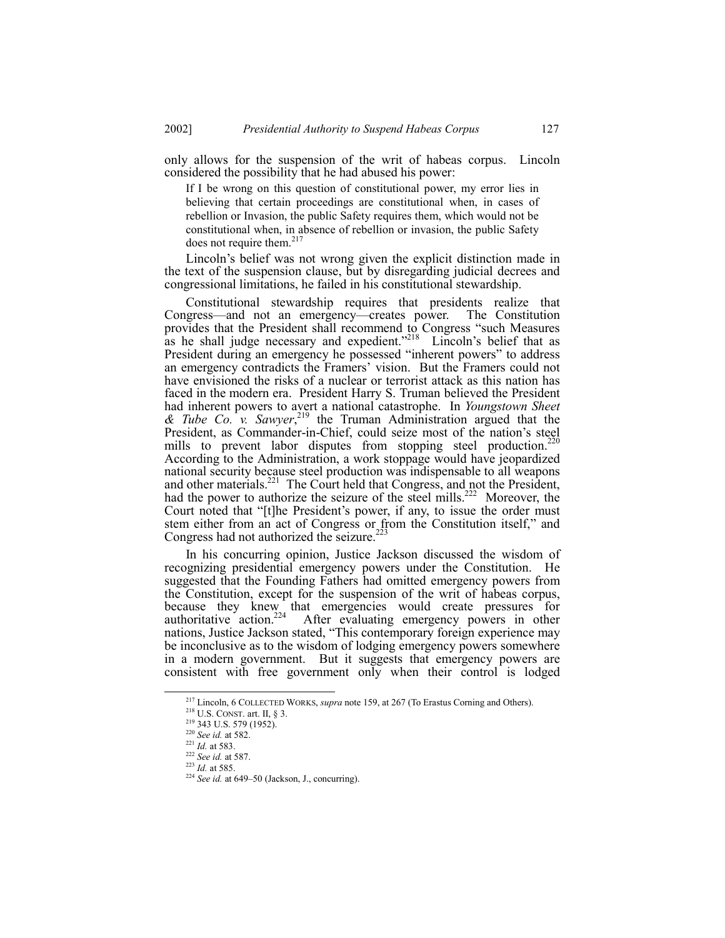only allows for the suspension of the writ of habeas corpus. Lincoln considered the possibility that he had abused his power:

If I be wrong on this question of constitutional power, my error lies in believing that certain proceedings are constitutional when, in cases of rebellion or Invasion, the public Safety requires them, which would not be constitutional when, in absence of rebellion or invasion, the public Safety does not require them.<sup>217</sup>

Lincoln's belief was not wrong given the explicit distinction made in the text of the suspension clause, but by disregarding judicial decrees and congressional limitations, he failed in his constitutional stewardship.

Constitutional stewardship requires that presidents realize that Congress—and not an emergency—creates power. The Constitution provides that the President shall recommend to Congress "such Measures as he shall judge necessary and expedient.<sup>3218</sup> Lincoln's belief that as President during an emergency he possessed "inherent powers" to address an emergency contradicts the Framers' vision. But the Framers could not have envisioned the risks of a nuclear or terrorist attack as this nation has faced in the modern era. President Harry S. Truman believed the President had inherent powers to avert a national catastrophe. In *Youngstown Sheet & Tube Co. v. Sawyer*, 219 the Truman Administration argued that the President, as Commander-in-Chief, could seize most of the nation's steel mills to prevent labor disputes from stopping steel production.<sup>220</sup> According to the Administration, a work stoppage would have jeopardized national security because steel production was indispensable to all weapons and other materials.<sup>221</sup> The Court held that Congress, and not the President, had the power to authorize the seizure of the steel mills.<sup>222</sup> Moreover, the Court noted that "[t]he President's power, if any, to issue the order must stem either from an act of Congress or from the Constitution itself," and Congress had not authorized the seizure.<sup>223</sup>

In his concurring opinion, Justice Jackson discussed the wisdom of recognizing presidential emergency powers under the Constitution. He suggested that the Founding Fathers had omitted emergency powers from the Constitution, except for the suspension of the writ of habeas corpus, because they knew that emergencies would create pressures for authoritative action.<sup>224</sup> After evaluating emergency powers in other nations, Justice Jackson stated, "This contemporary foreign experience may be inconclusive as to the wisdom of lodging emergency powers somewhere in a modern government. But it suggests that emergency powers are consistent with free government only when their control is lodged

 <sup>217</sup> Lincoln, 6 COLLECTED WORKS, *supra* note 159, at 267 (To Erastus Corning and Others).

 $218$  U.S. CONST. art. II, § 3.

<sup>219 343</sup> U.S. 579 (1952).

<sup>220</sup> *See id.* at 582.

<sup>221</sup> *Id.* at 583.

<sup>222</sup> *See id.* at 587.

<sup>223</sup> *Id.* at 585.

 $224$  *See id.* at 649-50 (Jackson, J., concurring).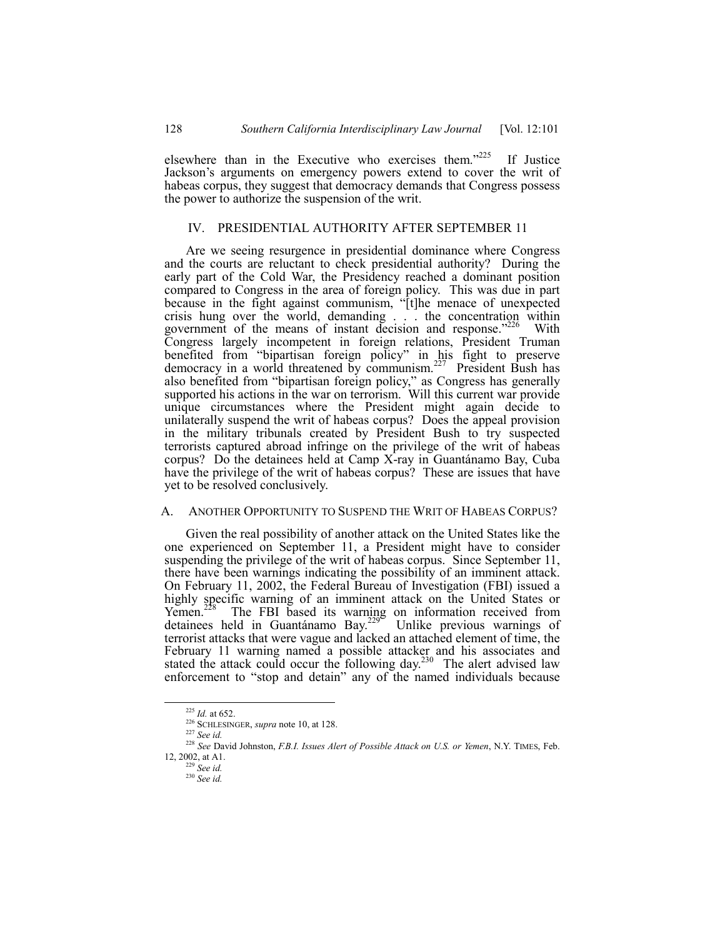elsewhere than in the Executive who exercises them.<sup> $225$ </sup> If Justice Jackson's arguments on emergency powers extend to cover the writ of habeas corpus, they suggest that democracy demands that Congress possess the power to authorize the suspension of the writ.

# IV. PRESIDENTIAL AUTHORITY AFTER SEPTEMBER 11

Are we seeing resurgence in presidential dominance where Congress and the courts are reluctant to check presidential authority? During the early part of the Cold War, the Presidency reached a dominant position compared to Congress in the area of foreign policy. This was due in part because in the fight against communism, "[t]he menace of unexpected crisis hung over the world, demanding . . . the concentration within government of the means of instant decision and response.<sup>7226</sup> With Congress largely incompetent in foreign relations, President Truman benefited from "bipartisan foreign policy" in his fight to preserve democracy in a world threatened by communism.<sup>227</sup> President Bush has also benefited from "bipartisan foreign policy," as Congress has generally supported his actions in the war on terrorism. Will this current war provide unique circumstances where the President might again decide to unilaterally suspend the writ of habeas corpus? Does the appeal provision in the military tribunals created by President Bush to try suspected terrorists captured abroad infringe on the privilege of the writ of habeas corpus? Do the detainees held at Camp X-ray in Guantánamo Bay, Cuba have the privilege of the writ of habeas corpus? These are issues that have yet to be resolved conclusively.

# A. ANOTHER OPPORTUNITY TO SUSPEND THE WRIT OF HABEAS CORPUS?

Given the real possibility of another attack on the United States like the one experienced on September 11, a President might have to consider suspending the privilege of the writ of habeas corpus. Since September 11, there have been warnings indicating the possibility of an imminent attack. On February 11, 2002, the Federal Bureau of Investigation (FBI) issued a highly specific warning of an imminent attack on the United States or Yemen.<sup>228</sup> The FBI based its warning on information received from detainees held in Guantánamo Bay.<sup>229</sup> Unlike previous warnings of terrorist attacks that were vague and lacked an attached element of time, the February 11 warning named a possible attacker and his associates and stated the attack could occur the following day.<sup>230</sup> The alert advised law enforcement to "stop and detain" any of the named individuals because

 <sup>225</sup> *Id.* at 652.

<sup>226</sup> SCHLESINGER, *supra* note 10, at 128.

<sup>227</sup> *See id.*

<sup>228</sup> *See* David Johnston, *F.B.I. Issues Alert of Possible Attack on U.S. or Yemen*, N.Y. TIMES, Feb. 12, 2002, at A1.

<sup>229</sup> *See id.*

<sup>230</sup> *See id.*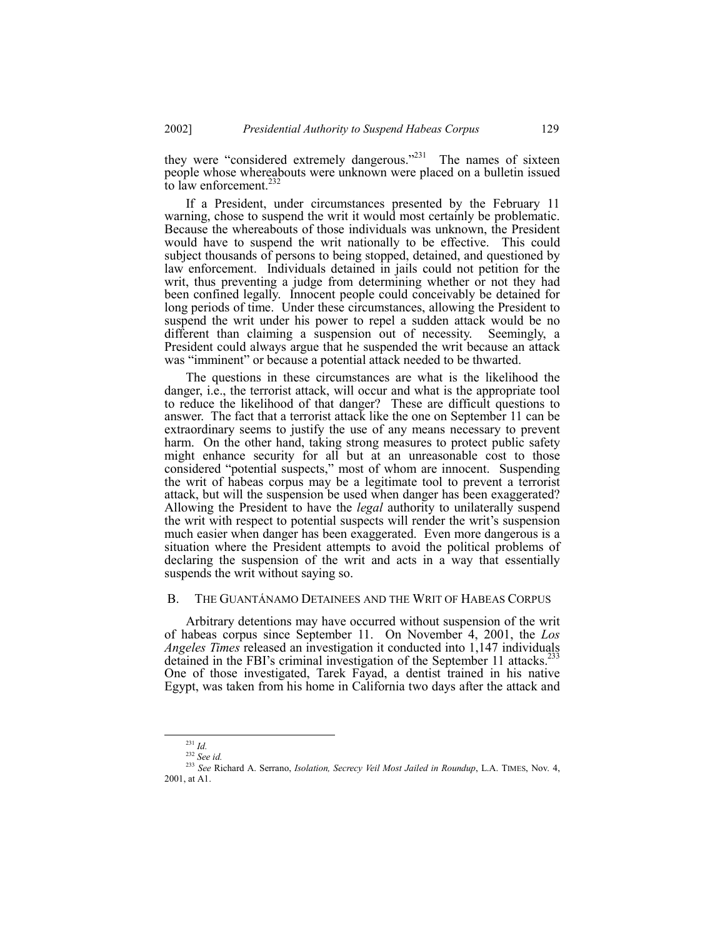they were "considered extremely dangerous. $231$  The names of sixteen people whose whereabouts were unknown were placed on a bulletin issued to law enforcement. $^{232}$ 

If a President, under circumstances presented by the February 11 warning, chose to suspend the writ it would most certainly be problematic. Because the whereabouts of those individuals was unknown, the President would have to suspend the writ nationally to be effective. This could subject thousands of persons to being stopped, detained, and questioned by law enforcement. Individuals detained in jails could not petition for the writ, thus preventing a judge from determining whether or not they had been confined legally. Innocent people could conceivably be detained for long periods of time. Under these circumstances, allowing the President to suspend the writ under his power to repel a sudden attack would be no different than claiming a suspension out of necessity. Seemingly, a President could always argue that he suspended the writ because an attack was "imminent" or because a potential attack needed to be thwarted.

The questions in these circumstances are what is the likelihood the danger, i.e., the terrorist attack, will occur and what is the appropriate tool to reduce the likelihood of that danger? These are difficult questions to answer. The fact that a terrorist attack like the one on September 11 can be extraordinary seems to justify the use of any means necessary to prevent harm. On the other hand, taking strong measures to protect public safety might enhance security for all but at an unreasonable cost to those considered "potential suspects," most of whom are innocent. Suspending the writ of habeas corpus may be a legitimate tool to prevent a terrorist attack, but will the suspension be used when danger has been exaggerated? Allowing the President to have the *legal* authority to unilaterally suspend the writ with respect to potential suspects will render the writ's suspension much easier when danger has been exaggerated. Even more dangerous is a situation where the President attempts to avoid the political problems of declaring the suspension of the writ and acts in a way that essentially suspends the writ without saying so.

## B. THE GUANTÁNAMO DETAINEES AND THE WRIT OF HABEAS CORPUS

Arbitrary detentions may have occurred without suspension of the writ of habeas corpus since September 11. On November 4, 2001, the *Los Angeles Times* released an investigation it conducted into 1,147 individuals detained in the FBI's criminal investigation of the September 11 attacks.<sup>233</sup> One of those investigated, Tarek Fayad, a dentist trained in his native Egypt, was taken from his home in California two days after the attack and

 <sup>231</sup> *Id.*

<sup>232</sup> *See id.*

<sup>233</sup> *See* Richard A. Serrano, *Isolation, Secrecy Veil Most Jailed in Roundup*, L.A. TIMES, Nov. 4, 2001, at A1.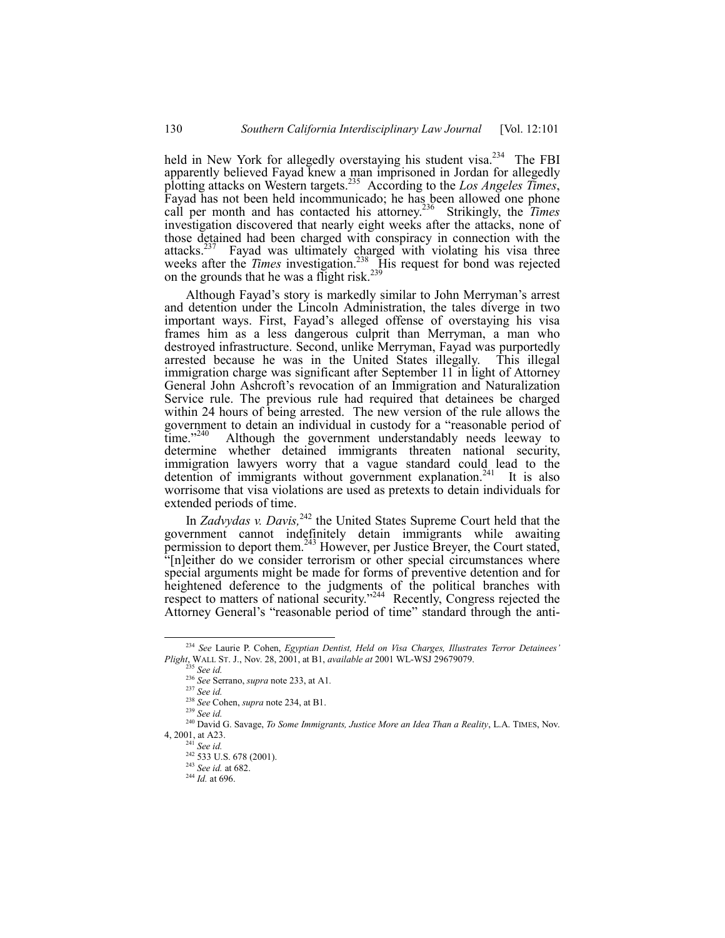held in New York for allegedly overstaying his student visa.<sup>234</sup> The FBI apparently believed Fayad knew a man imprisoned in Jordan for allegedly plotting attacks on Western targets.235 According to the *Los Angeles Times*, Fayad has not been held incommunicado; he has been allowed one phone call per month and has contacted his attorney.236 Strikingly, the *Times* investigation discovered that nearly eight weeks after the attacks, none of those detained had been charged with conspiracy in connection with the attacks.<sup>237</sup> Fayad was ultimately charged with violating his visa three weeks after the *Times* investigation.<sup>238</sup> His request for bond was rejected on the grounds that he was a flight risk.<sup>239</sup>

Although Fayad's story is markedly similar to John Merryman's arrest and detention under the Lincoln Administration, the tales diverge in two important ways. First, Fayad's alleged offense of overstaying his visa frames him as a less dangerous culprit than Merryman, a man who destroyed infrastructure. Second, unlike Merryman, Fayad was purportedly arrested because he was in the United States illegally. This illegal immigration charge was significant after September 11 in light of Attorney General John Ashcroft's revocation of an Immigration and Naturalization Service rule. The previous rule had required that detainees be charged within 24 hours of being arrested. The new version of the rule allows the government to detain an individual in custody for a "reasonable period of time."<sup>240</sup> Although the government understandably needs leeway to determine whether detained immigrants threaten national security, immigration lawyers worry that a vague standard could lead to the detention of immigrants without government explanation.<sup>241</sup> It is also worrisome that visa violations are used as pretexts to detain individuals for extended periods of time.

In *Zadvydas v. Davis*,<sup>242</sup> the United States Supreme Court held that the government cannot indefinitely detain immigrants while awaiting permission to deport them.<sup>243</sup> However, per Justice Breyer, the Court stated, "[n]either do we consider terrorism or other special circumstances where special arguments might be made for forms of preventive detention and for heightened deference to the judgments of the political branches with respect to matters of national security.<sup> $244$ </sup> Recently, Congress rejected the Attorney General's "reasonable period of time" standard through the anti-

<sup>&</sup>lt;sup>234</sup> See Laurie P. Cohen, *Egyptian Dentist, Held on Visa Charges, Illustrates Terror Detainees' Plight*, WALL ST. J., Nov. 28, 2001, at B1, *available at* 2001 WL-WSJ 29679079.

<sup>235</sup> *See id.*

<sup>236</sup> *See* Serrano, *supra* note 233, at A1*.*

<sup>237</sup> *See id.*

<sup>238</sup> *See* Cohen, *supra* note 234, at B1.

<sup>239</sup> *See id.*

<sup>240</sup> David G. Savage, *To Some Immigrants, Justice More an Idea Than a Reality*, L.A. TIMES, Nov. 4, 2001, at A23.

See *id.* 

 $242$  533 U.S. 678 (2001).

<sup>243</sup> *See id.* at 682.

<sup>244</sup> *Id.* at 696.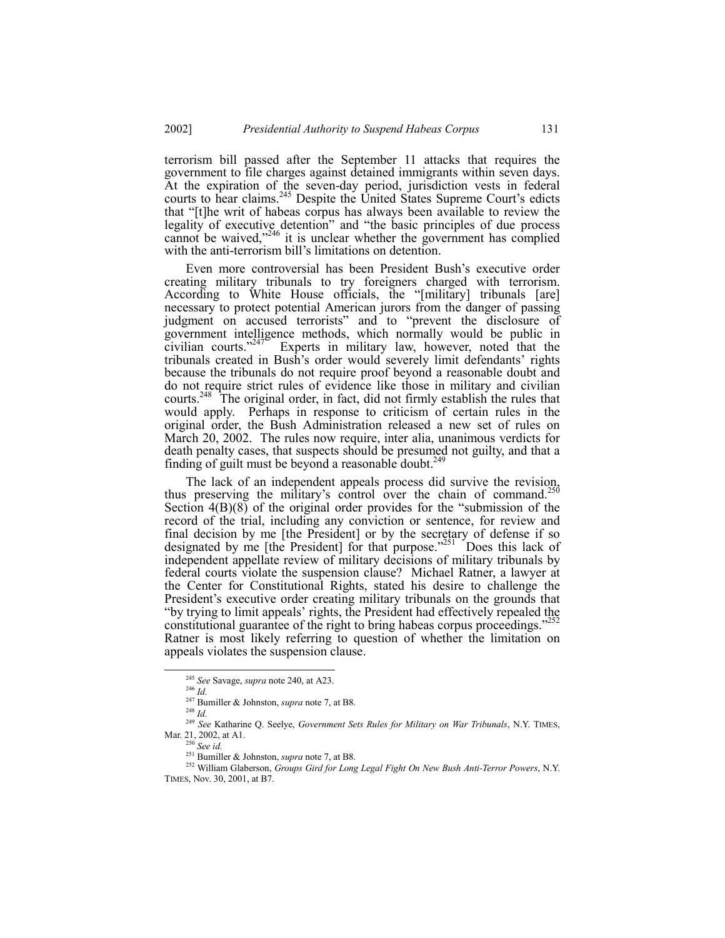terrorism bill passed after the September 11 attacks that requires the government to file charges against detained immigrants within seven days. At the expiration of the seven-day period, jurisdiction vests in federal courts to hear claims.<sup>245</sup> Despite the United States Supreme Court's edicts that "[t]he writ of habeas corpus has always been available to review the legality of executive detention" and "the basic principles of due process cannot be waived, $246$  it is unclear whether the government has complied with the anti-terrorism bill's limitations on detention.

Even more controversial has been President Bush's executive order creating military tribunals to try foreigners charged with terrorism. According to White House officials, the "[military] tribunals [are] necessary to protect potential American jurors from the danger of passing judgment on accused terrorists" and to "prevent the disclosure of government intelligence methods, which normally would be public in civilian courts. $247^{\circ}$  Experts in military law, however, noted that the tribunals created in Bush's order would severely limit defendants' rights because the tribunals do not require proof beyond a reasonable doubt and do not require strict rules of evidence like those in military and civilian courts.<sup>248</sup> The original order, in fact, did not firmly establish the rules that would apply. Perhaps in response to criticism of certain rules in the original order, the Bush Administration released a new set of rules on March 20, 2002. The rules now require, inter alia, unanimous verdicts for death penalty cases, that suspects should be presumed not guilty, and that a finding of guilt must be beyond a reasonable doubt.<sup>2</sup>

The lack of an independent appeals process did survive the revision, thus preserving the military's control over the chain of command.<sup>2</sup> Section  $4(B)(8)$  of the original order provides for the "submission of the record of the trial, including any conviction or sentence, for review and final decision by me [the President] or by the secretary of defense if so designated by me [the President] for that purpose.<sup>2251</sup> Does this lack of independent appellate review of military decisions of military tribunals by federal courts violate the suspension clause? Michael Ratner, a lawyer at the Center for Constitutional Rights, stated his desire to challenge the President's executive order creating military tribunals on the grounds that "by trying to limit appeals' rights, the President had effectively repealed the constitutional guarantee of the right to bring habeas corpus proceedings.<sup>?</sup> Ratner is most likely referring to question of whether the limitation on appeals violates the suspension clause.

 <sup>245</sup> *See* Savage, *supra* note 240, at A23.

<sup>246</sup> *Id.*

<sup>&</sup>lt;sup>247</sup> Bumiller & Johnston, *supra* note 7, at B8.

<sup>248</sup> *Id.*

<sup>249</sup> *See* Katharine Q. Seelye, *Government Sets Rules for Military on War Tribunals*, N.Y. TIMES, Mar. 21, 2002, at A1.

<sup>250</sup> *See id.*

<sup>&</sup>lt;sup>251</sup> Bumiller & Johnston, *supra* note 7, at B8.

<sup>252</sup> William Glaberson, *Groups Gird for Long Legal Fight On New Bush Anti-Terror Powers*, N.Y. TIMES, Nov. 30, 2001, at B7.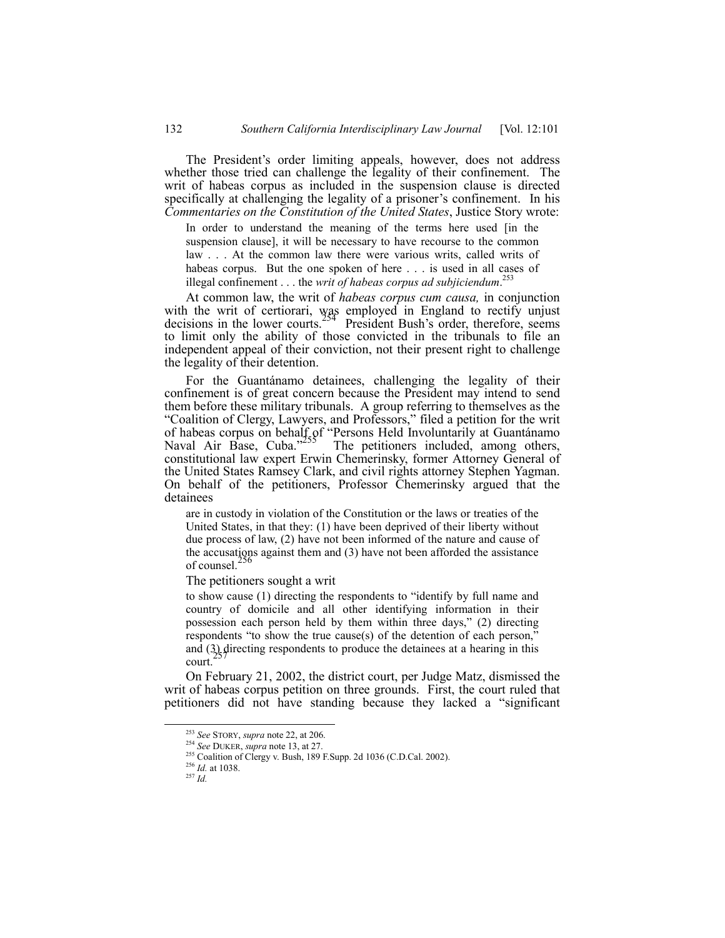The President's order limiting appeals, however, does not address whether those tried can challenge the legality of their confinement. The writ of habeas corpus as included in the suspension clause is directed specifically at challenging the legality of a prisoner's confinement. In his *Commentaries on the Constitution of the United States*, Justice Story wrote:

In order to understand the meaning of the terms here used [in the suspension clause], it will be necessary to have recourse to the common law . . . At the common law there were various writs, called writs of habeas corpus. But the one spoken of here . . . is used in all cases of illegal confinement . . . the *writ of habeas corpus ad subjiciendum*. 253

At common law, the writ of *habeas corpus cum causa,* in conjunction with the writ of certiorari, was employed in England to rectify unjust decisions in the lower courts.<sup>254</sup> President Bush's order, therefore, seems to limit only the ability of those convicted in the tribunals to file an independent appeal of their conviction, not their present right to challenge the legality of their detention.

For the Guantánamo detainees, challenging the legality of their confinement is of great concern because the President may intend to send them before these military tribunals. A group referring to themselves as the ìCoalition of Clergy, Lawyers, and Professors,î filed a petition for the writ of habeas corpus on behalf of "Persons Held Involuntarily at Guantánamo<br>Naval Air Base, Cuba.<sup>3255</sup> The petitioners included, among others, constitutional law expert Erwin Chemerinsky, former Attorney General of the United States Ramsey Clark, and civil rights attorney Stephen Yagman. On behalf of the petitioners, Professor Chemerinsky argued that the detainees

are in custody in violation of the Constitution or the laws or treaties of the United States, in that they: (1) have been deprived of their liberty without due process of law, (2) have not been informed of the nature and cause of the accusations against them and (3) have not been afforded the assistance of counsel. $<sup>2</sup>$ </sup>

The petitioners sought a writ

to show cause (1) directing the respondents to "identify by full name and country of domicile and all other identifying information in their possession each person held by them within three days,"  $(2)$  directing respondents "to show the true cause(s) of the detention of each person," and (3) directing respondents to produce the detainees at a hearing in this court.

On February 21, 2002, the district court, per Judge Matz, dismissed the writ of habeas corpus petition on three grounds. First, the court ruled that petitioners did not have standing because they lacked a "significant"

 <sup>253</sup> *See* STORY, *supra* note 22, at 206.

<sup>254</sup> *See* DUKER, *supra* note 13, at 27.

<sup>255</sup> Coalition of Clergy v. Bush, 189 F.Supp. 2d 1036 (C.D.Cal. 2002).

<sup>256</sup> *Id.* at 1038.

<sup>257</sup> *Id.*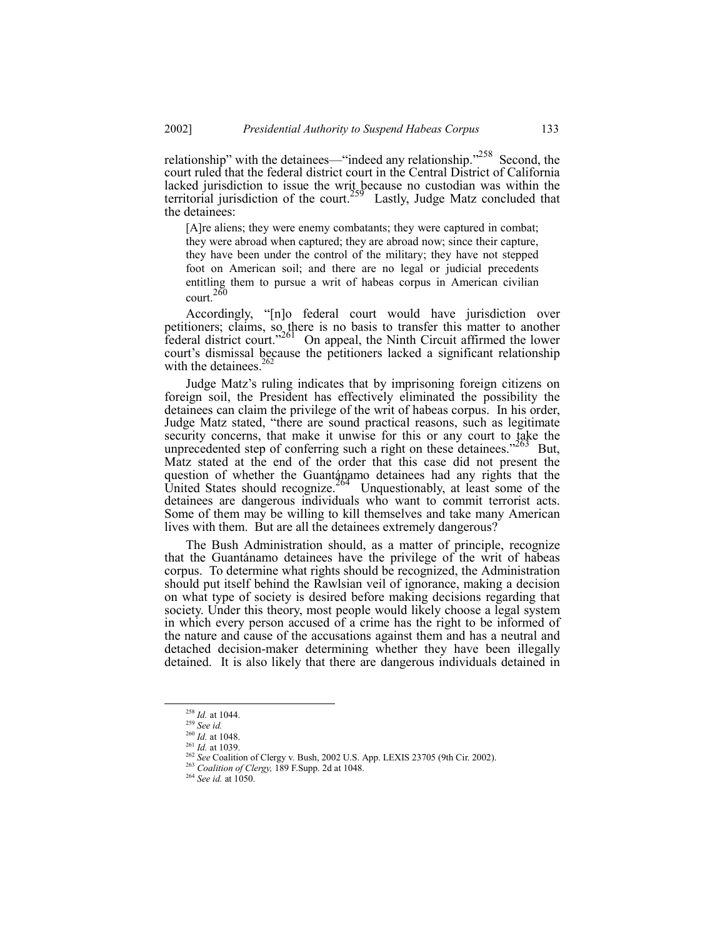relationship" with the detainees—"indeed any relationship.<sup> $258$ </sup> Second, the court ruled that the federal district court in the Central District of California lacked jurisdiction to issue the writ because no custodian was within the territorial jurisdiction of the court.<sup>259</sup> Lastly, Judge Matz concluded that the detainees:

[A]re aliens; they were enemy combatants; they were captured in combat; they were abroad when captured; they are abroad now; since their capture, they have been under the control of the military; they have not stepped foot on American soil; and there are no legal or judicial precedents entitling them to pursue a writ of habeas corpus in American civilian  $count.<sup>260</sup>$ 

Accordingly, "[n]o federal court would have jurisdiction over petitioners; claims, so there is no basis to transfer this matter to another federal district court.<sup>7261</sup> On appeal, the Ninth Circuit affirmed the lower federal district court."<sup>261</sup> On appeal, the Ninth Circuit affirmed the lower court's dismissal because the petitioners lacked a significant relationship with the detainees. $262$ 

Judge Matzís ruling indicates that by imprisoning foreign citizens on foreign soil, the President has effectively eliminated the possibility the detainees can claim the privilege of the writ of habeas corpus. In his order, Judge Matz stated, "there are sound practical reasons, such as legitimate security concerns, that make it unwise for this or any court to take the unprecedented step of conferring such a right on these detainees.<sup> $263$ </sup> But, Matz stated at the end of the order that this case did not present the question of whether the Guantánamo detainees had any rights that the United States should recognize.<sup>264</sup> Unquestionably, at least some of the detainees are dangerous individuals who want to commit terrorist acts. Some of them may be willing to kill themselves and take many American lives with them. But are all the detainees extremely dangerous?

The Bush Administration should, as a matter of principle, recognize that the Guantánamo detainees have the privilege of the writ of habeas corpus. To determine what rights should be recognized, the Administration should put itself behind the Rawlsian veil of ignorance, making a decision on what type of society is desired before making decisions regarding that society. Under this theory, most people would likely choose a legal system in which every person accused of a crime has the right to be informed of the nature and cause of the accusations against them and has a neutral and detached decision-maker determining whether they have been illegally detained. It is also likely that there are dangerous individuals detained in

 <sup>258</sup> *Id.* at 1044.

<sup>259</sup> *See id.*

 $\frac{260 \text{ H}}{1d}$ . at 1048.<br><sup>261</sup> *Id.* at 1039.

<sup>261</sup> *Id.* at 1039. <sup>262</sup> *See* Coalition of Clergy v. Bush, 2002 U.S. App. LEXIS 23705 (9th Cir. 2002). <sup>263</sup> *Coalition of Clergy,* 189 F.Supp. 2d at 1048.

<sup>264</sup> *See id.* at 1050.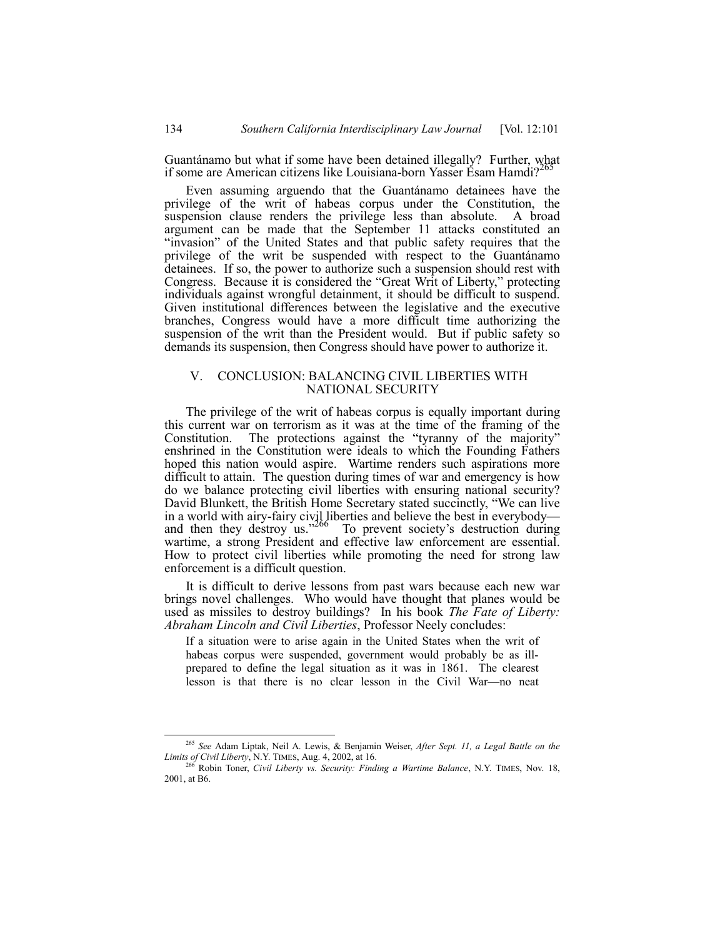Guantánamo but what if some have been detained illegally? Further, what if some are American citizens like Louisiana-born Yasser Esam Hamdi?<sup>2</sup>

Even assuming arguendo that the Guantánamo detainees have the privilege of the writ of habeas corpus under the Constitution, the suspension clause renders the privilege less than absolute. A broad argument can be made that the September 11 attacks constituted an "invasion" of the United States and that public safety requires that the privilege of the writ be suspended with respect to the Guantanamo detainees. If so, the power to authorize such a suspension should rest with Congress. Because it is considered the "Great Writ of Liberty," protecting individuals against wrongful detainment, it should be difficult to suspend. Given institutional differences between the legislative and the executive branches, Congress would have a more difficult time authorizing the suspension of the writ than the President would. But if public safety so demands its suspension, then Congress should have power to authorize it.

# V. CONCLUSION: BALANCING CIVIL LIBERTIES WITH NATIONAL SECURITY

The privilege of the writ of habeas corpus is equally important during this current war on terrorism as it was at the time of the framing of the Constitution. The protections against the "tyranny of the majority" enshrined in the Constitution were ideals to which the Founding Fathers hoped this nation would aspire. Wartime renders such aspirations more difficult to attain. The question during times of war and emergency is how do we balance protecting civil liberties with ensuring national security? David Blunkett, the British Home Secretary stated succinctly, "We can live in a world with airy-fairy civil liberties and believe the best in everybody—<br>and then they destroy us.<sup>2266</sup> To prevent society's destruction during wartime, a strong President and effective law enforcement are essential. How to protect civil liberties while promoting the need for strong law enforcement is a difficult question.

It is difficult to derive lessons from past wars because each new war brings novel challenges. Who would have thought that planes would be used as missiles to destroy buildings? In his book *The Fate of Liberty: Abraham Lincoln and Civil Liberties*, Professor Neely concludes:

If a situation were to arise again in the United States when the writ of habeas corpus were suspended, government would probably be as illprepared to define the legal situation as it was in 1861. The clearest lesson is that there is no clear lesson in the Civil War—no neat

 <sup>265</sup> *See* Adam Liptak, Neil A. Lewis, & Benjamin Weiser, *After Sept. 11, a Legal Battle on the Limits of Civil Liberty*, N.Y. TIMES, Aug. 4, 2002, at 16.

<sup>266</sup> Robin Toner, *Civil Liberty vs. Security: Finding a Wartime Balance*, N.Y. TIMES, Nov. 18, 2001, at B6.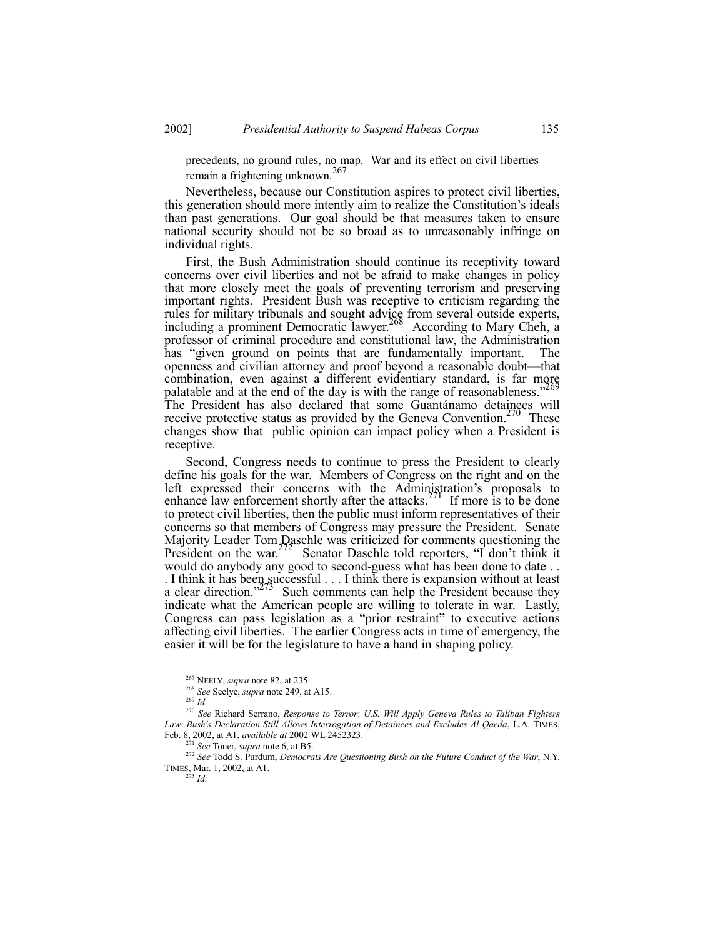precedents, no ground rules, no map. War and its effect on civil liberties remain a frightening unknown.<sup>267</sup>

Nevertheless, because our Constitution aspires to protect civil liberties, this generation should more intently aim to realize the Constitution's ideals than past generations. Our goal should be that measures taken to ensure national security should not be so broad as to unreasonably infringe on individual rights.

First, the Bush Administration should continue its receptivity toward concerns over civil liberties and not be afraid to make changes in policy that more closely meet the goals of preventing terrorism and preserving important rights. President Bush was receptive to criticism regarding the rules for military tribunals and sought advice from several outside experts, including a prominent Democratic lawyer.<sup>208</sup> According to Mary Cheh, a professor of criminal procedure and constitutional law, the Administration has "given ground on points that are fundamentally important. The openness and civilian attorney and proof beyond a reasonable doubt—that combination, even against a different evidentiary standard, is far more palatable and at the end of the day is with the range of reasonableness.<sup> $2\degree$ </sup> The President has also declared that some Guantánamo detainees will receive protective status as provided by the Geneva Convention.<sup>270</sup> These changes show that public opinion can impact policy when a President is receptive.

Second, Congress needs to continue to press the President to clearly define his goals for the war. Members of Congress on the right and on the left expressed their concerns with the Administration's proposals to enhance law enforcement shortly after the attacks.<sup>271</sup> If more is to be done to protect civil liberties, then the public must inform representatives of their concerns so that members of Congress may pressure the President. Senate Majority Leader Tom Daschle was criticized for comments questioning the President on the war.  $2^{72}$  Senator Daschle told reporters, "I don't think it Senator Daschle told reporters, "I don't think it would do anybody any good to second-guess what has been done to date . . . I think it has been successful  $\dots$  I think there is expansion without at least a clear direction.<sup>7273</sup> Such comments can help the President because they indicate what the American people are willing to tolerate in war. Lastly, Congress can pass legislation as a "prior restraint" to executive actions affecting civil liberties. The earlier Congress acts in time of emergency, the easier it will be for the legislature to have a hand in shaping policy.

 <sup>267</sup> NEELY, *supra* note 82, at 235.

<sup>268</sup> *See* Seelye, *supra* note 249, at A15.

<sup>269</sup> *Id.*

<sup>270</sup> *See* Richard Serrano, *Response to Terror*: *U.S. Will Apply Geneva Rules to Taliban Fighters Law*: *Bush's Declaration Still Allows Interrogation of Detainees and Excludes Al Qaeda*, L.A. TIMES, Feb. 8, 2002, at A1, *available at* 2002 WL 2452323.

*See* Toner, *supra* note 6, at B5.

<sup>272</sup> *See* Todd S. Purdum, *Democrats Are Questioning Bush on the Future Conduct of the War*, N.Y. TIMES, Mar. 1, 2002, at A1.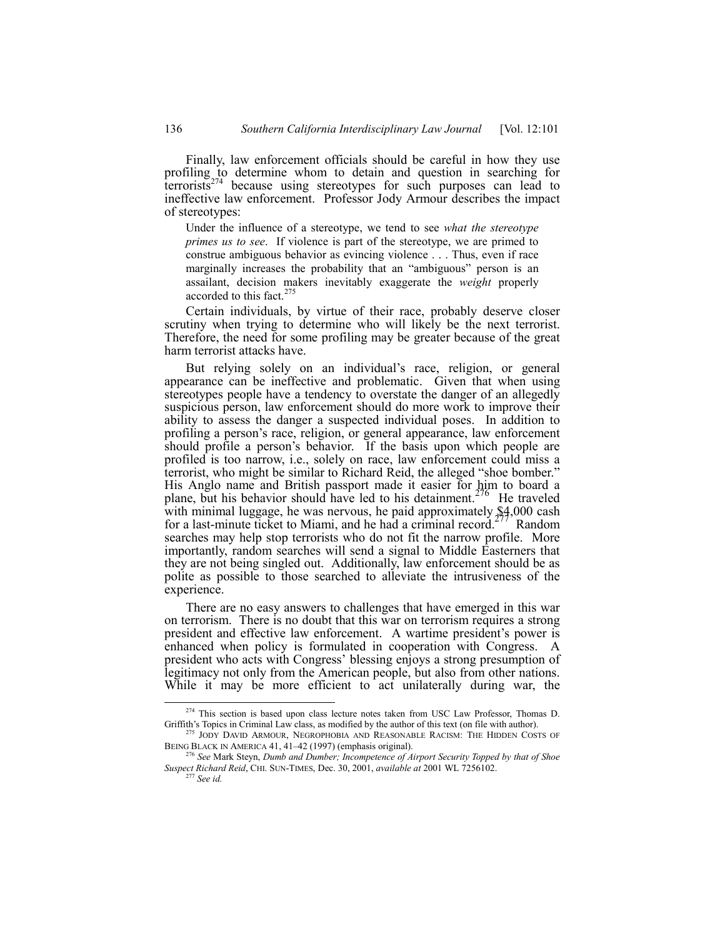Finally, law enforcement officials should be careful in how they use profiling to determine whom to detain and question in searching for  $\text{terrorists}^{274}$  because using stereotypes for such purposes can lead to ineffective law enforcement. Professor Jody Armour describes the impact of stereotypes:

Under the influence of a stereotype, we tend to see *what the stereotype primes us to see*. If violence is part of the stereotype, we are primed to construe ambiguous behavior as evincing violence . . . Thus, even if race marginally increases the probability that an "ambiguous" person is an assailant, decision makers inevitably exaggerate the *weight* properly accorded to this fact.  $275$ 

Certain individuals, by virtue of their race, probably deserve closer scrutiny when trying to determine who will likely be the next terrorist. Therefore, the need for some profiling may be greater because of the great harm terrorist attacks have.

But relying solely on an individual's race, religion, or general appearance can be ineffective and problematic. Given that when using stereotypes people have a tendency to overstate the danger of an allegedly suspicious person, law enforcement should do more work to improve their ability to assess the danger a suspected individual poses. In addition to profiling a person's race, religion, or general appearance, law enforcement should profile a person's behavior. If the basis upon which people are profiled is too narrow, i.e., solely on race, law enforcement could miss a terrorist, who might be similar to Richard Reid, the alleged "shoe bomber." His Anglo name and British passport made it easier for him to board a plane, but his behavior should have led to his detainment.<sup> $2/6$ </sup> He traveled with minimal luggage, he was nervous, he paid approximately  $$4,000$  cash for a last-minute ticket to Miami, and he had a criminal record.<sup>277</sup> Random searches may help stop terrorists who do not fit the narrow profile. More importantly, random searches will send a signal to Middle Easterners that they are not being singled out. Additionally, law enforcement should be as polite as possible to those searched to alleviate the intrusiveness of the experience.

There are no easy answers to challenges that have emerged in this war on terrorism. There is no doubt that this war on terrorism requires a strong president and effective law enforcement. A wartime president's power is enhanced when policy is formulated in cooperation with Congress. A president who acts with Congressí blessing enjoys a strong presumption of legitimacy not only from the American people, but also from other nations. While it may be more efficient to act unilaterally during war, the

<sup>&</sup>lt;sup>274</sup> This section is based upon class lecture notes taken from USC Law Professor, Thomas D. Griffith's Topics in Criminal Law class, as modified by the author of this text (on file with author).

<sup>&</sup>lt;sup>275</sup> JODY DAVID ARMOUR, NEGROPHOBIA AND REASONABLE RACISM: THE HIDDEN COSTS OF BEING BLACK IN AMERICA 41, 41-42 (1997) (emphasis original).

<sup>276</sup> *See* Mark Steyn, *Dumb and Dumber; Incompetence of Airport Security Topped by that of Shoe Suspect Richard Reid*, CHI. SUN-TIMES, Dec. 30, 2001, *available at* 2001 WL 7256102.